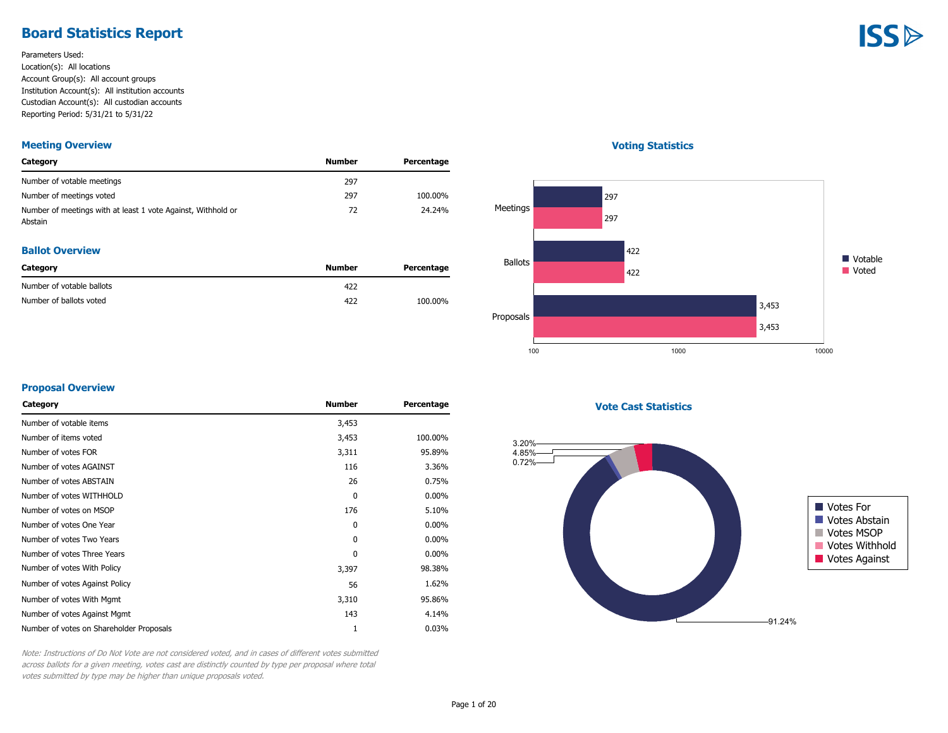### **Board Statistics Report**

Parameters Used: Location(s): All locations Account Group(s): All account groups Institution Account(s): All institution accounts Custodian Account(s): All custodian accounts Reporting Period: 5/31/21 to 5/31/22

#### **Meeting Overview**

| Category                                                                | Number | Percentage |
|-------------------------------------------------------------------------|--------|------------|
| Number of votable meetings                                              | 297    |            |
| Number of meetings voted                                                | 297    | 100.00%    |
| Number of meetings with at least 1 vote Against, Withhold or<br>Abstain | 72     | 24.24%     |

#### **Ballot Overview**

| Category                  | Number | Percentage |
|---------------------------|--------|------------|
| Number of votable ballots | 422    |            |
| Number of ballots voted   | 422    | 100.00%    |

#### **Voting Statistics**



#### **Proposal Overview**

| <b>Number</b> | Percentage |
|---------------|------------|
| 3,453         |            |
| 3,453         | 100.00%    |
| 3,311         | 95.89%     |
| 116           | 3.36%      |
| 26            | 0.75%      |
| 0             | $0.00\%$   |
| 176           | 5.10%      |
| 0             | $0.00\%$   |
| 0             | $0.00\%$   |
| 0             | $0.00\%$   |
| 3,397         | 98.38%     |
| 56            | 1.62%      |
| 3,310         | 95.86%     |
| 143           | 4.14%      |
| 1             | 0.03%      |
|               |            |

**Vote Cast Statistics**



Note: Instructions of Do Not Vote are not considered voted, and in cases of different votes submitted across ballots for a given meeting, votes cast are distinctly counted by type per proposal where total votes submitted by type may be higher than unique proposals voted.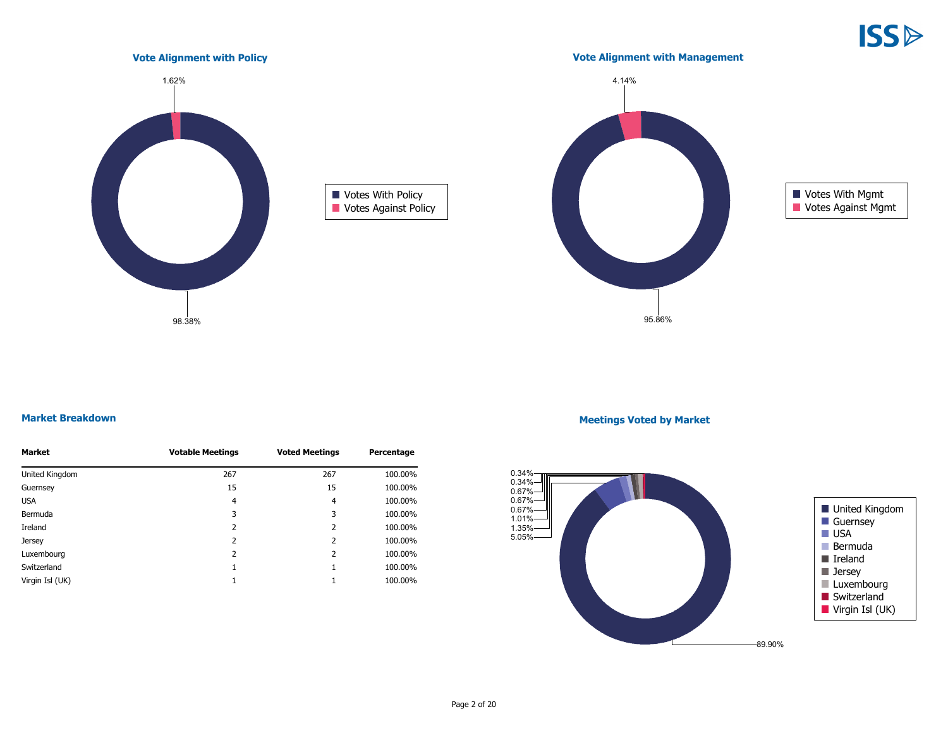

#### **Market Breakdown**

| Market          | <b>Votable Meetings</b> | <b>Voted Meetings</b> | Percentage |
|-----------------|-------------------------|-----------------------|------------|
| United Kingdom  | 267                     | 267                   | 100.00%    |
| Guernsey        | 15                      | 15                    | 100.00%    |
| <b>USA</b>      | $\overline{4}$          | 4                     | 100.00%    |
| Bermuda         | 3                       | 3                     | 100.00%    |
| Ireland         | 2                       | 2                     | 100.00%    |
| Jersey          | 2                       | 2                     | 100.00%    |
| Luxembourg      | 2                       | 2                     | 100.00%    |
| Switzerland     |                         |                       | 100.00%    |
| Virgin Isl (UK) |                         |                       | 100.00%    |

98.38%

#### **Meetings Voted by Market**

95.86%

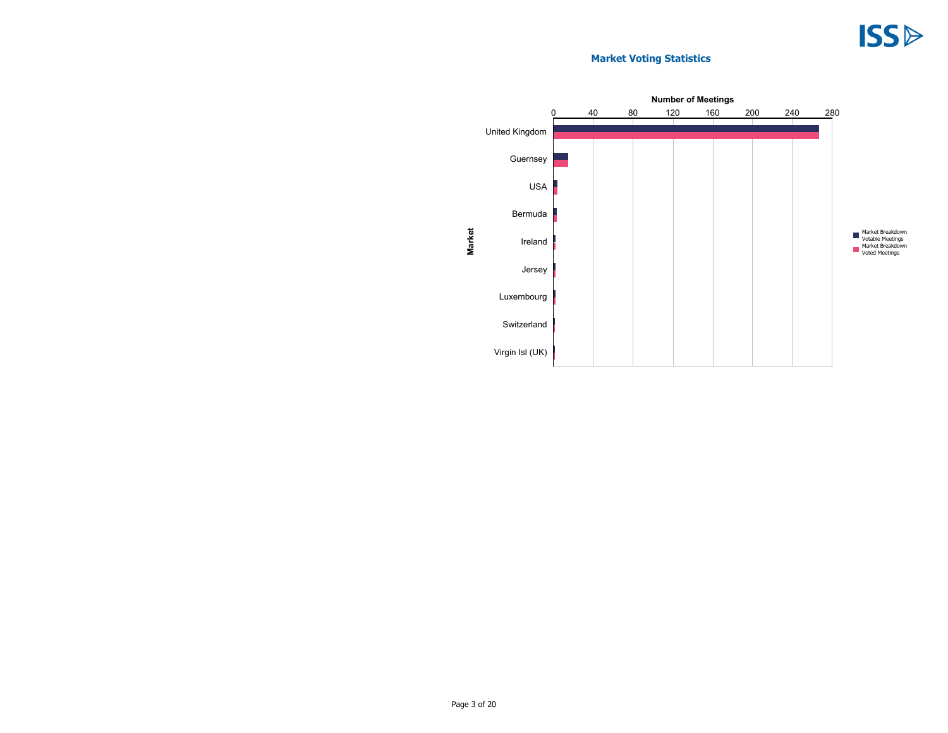### **Market Voting Statistics**

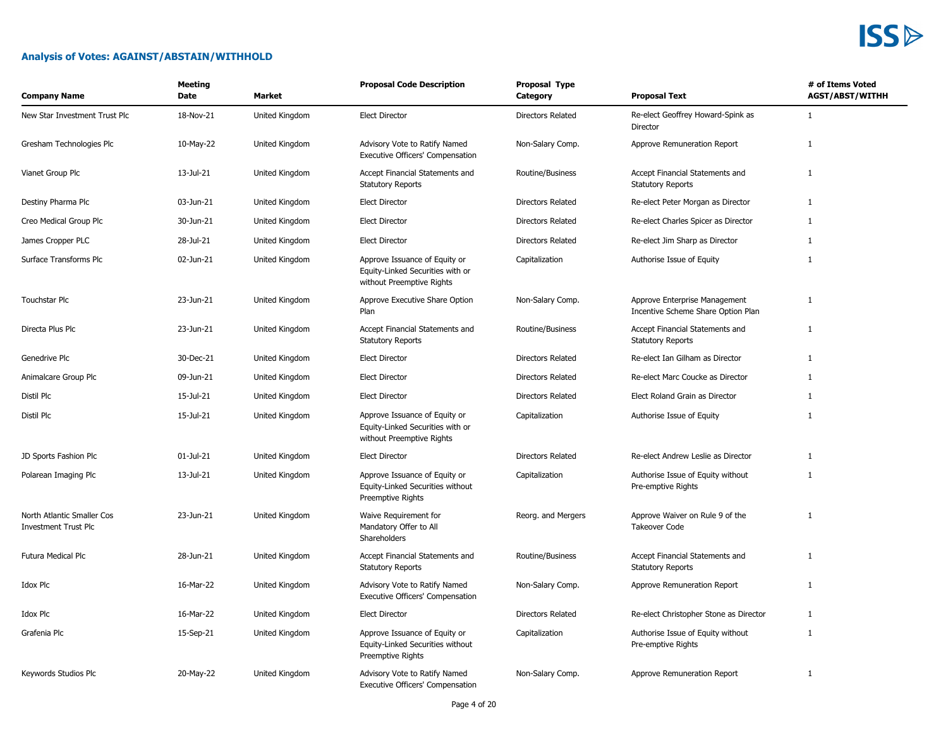### **Analysis of Votes: AGAINST/ABSTAIN/WITHHOLD**

| <b>Company Name</b>                                       | Meeting<br>Date | Market         | <b>Proposal Code Description</b>                                                               | Proposal Type<br>Category | <b>Proposal Text</b>                                                | # of Items Voted<br><b>AGST/ABST/WITHH</b> |
|-----------------------------------------------------------|-----------------|----------------|------------------------------------------------------------------------------------------------|---------------------------|---------------------------------------------------------------------|--------------------------------------------|
| New Star Investment Trust Plc                             | 18-Nov-21       | United Kingdom | <b>Elect Director</b>                                                                          | <b>Directors Related</b>  | Re-elect Geoffrey Howard-Spink as<br>Director                       | $\mathbf{1}$                               |
| Gresham Technologies Plc                                  | 10-May-22       | United Kingdom | Advisory Vote to Ratify Named<br>Executive Officers' Compensation                              | Non-Salary Comp.          | Approve Remuneration Report                                         | $\mathbf{1}$                               |
| Vianet Group Plc                                          | 13-Jul-21       | United Kingdom | Accept Financial Statements and<br><b>Statutory Reports</b>                                    | Routine/Business          | Accept Financial Statements and<br><b>Statutory Reports</b>         | $\mathbf{1}$                               |
| Destiny Pharma Plc                                        | 03-Jun-21       | United Kingdom | <b>Elect Director</b>                                                                          | <b>Directors Related</b>  | Re-elect Peter Morgan as Director                                   | $\mathbf{1}$                               |
| Creo Medical Group Plc                                    | 30-Jun-21       | United Kingdom | <b>Elect Director</b>                                                                          | Directors Related         | Re-elect Charles Spicer as Director                                 | $\mathbf{1}$                               |
| James Cropper PLC                                         | 28-Jul-21       | United Kingdom | <b>Elect Director</b>                                                                          | <b>Directors Related</b>  | Re-elect Jim Sharp as Director                                      | 1                                          |
| Surface Transforms Plc                                    | 02-Jun-21       | United Kingdom | Approve Issuance of Equity or<br>Equity-Linked Securities with or<br>without Preemptive Rights | Capitalization            | Authorise Issue of Equity                                           | $\mathbf{1}$                               |
| Touchstar Plc                                             | 23-Jun-21       | United Kingdom | Approve Executive Share Option<br>Plan                                                         | Non-Salary Comp.          | Approve Enterprise Management<br>Incentive Scheme Share Option Plan | $\mathbf{1}$                               |
| Directa Plus Plc                                          | 23-Jun-21       | United Kingdom | Accept Financial Statements and<br><b>Statutory Reports</b>                                    | Routine/Business          | Accept Financial Statements and<br><b>Statutory Reports</b>         | $\mathbf{1}$                               |
| Genedrive Plc                                             | 30-Dec-21       | United Kingdom | <b>Elect Director</b>                                                                          | <b>Directors Related</b>  | Re-elect Ian Gilham as Director                                     | 1                                          |
| Animalcare Group Plc                                      | 09-Jun-21       | United Kingdom | <b>Elect Director</b>                                                                          | <b>Directors Related</b>  | Re-elect Marc Coucke as Director                                    | 1                                          |
| Distil Plc                                                | 15-Jul-21       | United Kingdom | <b>Elect Director</b>                                                                          | <b>Directors Related</b>  | Elect Roland Grain as Director                                      | 1                                          |
| Distil Plc                                                | 15-Jul-21       | United Kingdom | Approve Issuance of Equity or<br>Equity-Linked Securities with or<br>without Preemptive Rights | Capitalization            | Authorise Issue of Equity                                           | $\mathbf{1}$                               |
| JD Sports Fashion Plc                                     | 01-Jul-21       | United Kingdom | <b>Elect Director</b>                                                                          | Directors Related         | Re-elect Andrew Leslie as Director                                  | $\mathbf{1}$                               |
| Polarean Imaging Plc                                      | 13-Jul-21       | United Kingdom | Approve Issuance of Equity or<br>Equity-Linked Securities without<br>Preemptive Rights         | Capitalization            | Authorise Issue of Equity without<br>Pre-emptive Rights             | $\mathbf{1}$                               |
| North Atlantic Smaller Cos<br><b>Investment Trust Plc</b> | 23-Jun-21       | United Kingdom | Waive Requirement for<br>Mandatory Offer to All<br>Shareholders                                | Reorg. and Mergers        | Approve Waiver on Rule 9 of the<br><b>Takeover Code</b>             | $\mathbf{1}$                               |
| Futura Medical Plc                                        | 28-Jun-21       | United Kingdom | Accept Financial Statements and<br><b>Statutory Reports</b>                                    | Routine/Business          | Accept Financial Statements and<br><b>Statutory Reports</b>         | $\mathbf{1}$                               |
| Idox Plc                                                  | 16-Mar-22       | United Kingdom | Advisory Vote to Ratify Named<br>Executive Officers' Compensation                              | Non-Salary Comp.          | Approve Remuneration Report                                         | $\mathbf{1}$                               |
| Idox Plc                                                  | 16-Mar-22       | United Kingdom | <b>Elect Director</b>                                                                          | <b>Directors Related</b>  | Re-elect Christopher Stone as Director                              | 1                                          |
| Grafenia Plc                                              | 15-Sep-21       | United Kingdom | Approve Issuance of Equity or<br>Equity-Linked Securities without<br>Preemptive Rights         | Capitalization            | Authorise Issue of Equity without<br>Pre-emptive Rights             | $\mathbf{1}$                               |
| Keywords Studios Plc                                      | 20-May-22       | United Kingdom | Advisory Vote to Ratify Named<br>Executive Officers' Compensation                              | Non-Salary Comp.          | Approve Remuneration Report                                         | $\mathbf{1}$                               |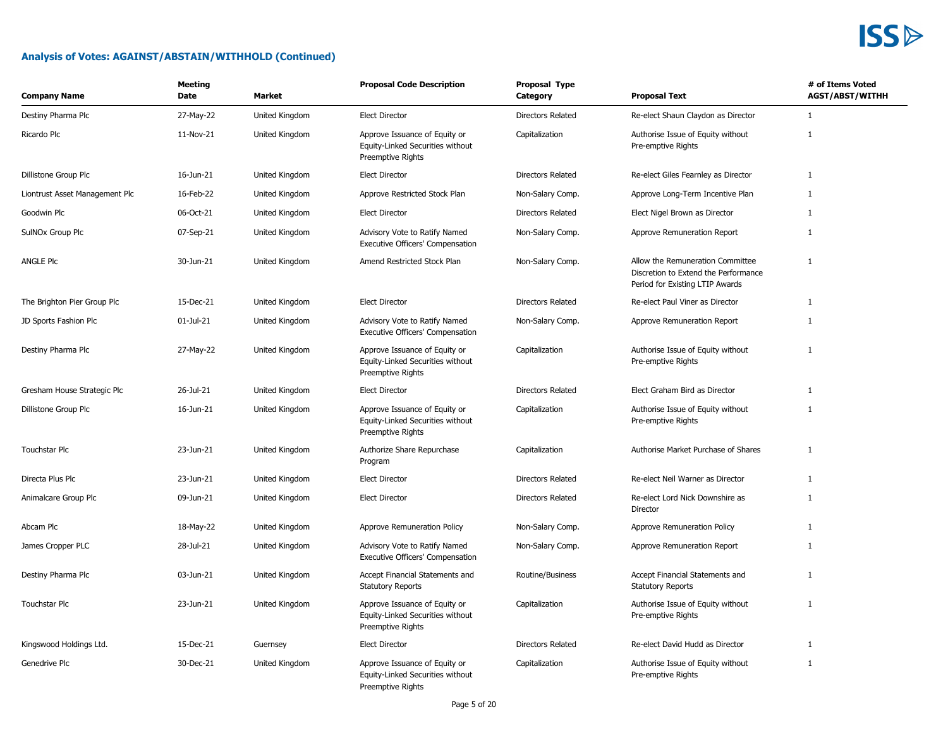

| <b>Company Name</b>            | Meeting<br>Date | Market         | <b>Proposal Code Description</b>                                                       | Proposal Type<br>Category | <b>Proposal Text</b>                                                                                        | # of Items Voted<br><b>AGST/ABST/WITHH</b> |
|--------------------------------|-----------------|----------------|----------------------------------------------------------------------------------------|---------------------------|-------------------------------------------------------------------------------------------------------------|--------------------------------------------|
| Destiny Pharma Plc             | 27-May-22       | United Kingdom | <b>Elect Director</b>                                                                  | <b>Directors Related</b>  | Re-elect Shaun Claydon as Director                                                                          | 1                                          |
| Ricardo Plc                    | 11-Nov-21       | United Kingdom | Approve Issuance of Equity or<br>Equity-Linked Securities without<br>Preemptive Rights | Capitalization            | Authorise Issue of Equity without<br>Pre-emptive Rights                                                     | $\mathbf{1}$                               |
| Dillistone Group Plc           | 16-Jun-21       | United Kingdom | <b>Elect Director</b>                                                                  | Directors Related         | Re-elect Giles Fearnley as Director                                                                         | 1                                          |
| Liontrust Asset Management Plc | 16-Feb-22       | United Kingdom | Approve Restricted Stock Plan                                                          | Non-Salary Comp.          | Approve Long-Term Incentive Plan                                                                            | $\mathbf{1}$                               |
| Goodwin Plc                    | 06-Oct-21       | United Kingdom | <b>Elect Director</b>                                                                  | Directors Related         | Elect Nigel Brown as Director                                                                               | $\mathbf{1}$                               |
| SulNOx Group Plc               | 07-Sep-21       | United Kingdom | Advisory Vote to Ratify Named<br>Executive Officers' Compensation                      | Non-Salary Comp.          | Approve Remuneration Report                                                                                 | $\mathbf{1}$                               |
| ANGLE Plc                      | 30-Jun-21       | United Kingdom | Amend Restricted Stock Plan                                                            | Non-Salary Comp.          | Allow the Remuneration Committee<br>Discretion to Extend the Performance<br>Period for Existing LTIP Awards | $\mathbf{1}$                               |
| The Brighton Pier Group Plc    | 15-Dec-21       | United Kingdom | <b>Elect Director</b>                                                                  | <b>Directors Related</b>  | Re-elect Paul Viner as Director                                                                             | 1                                          |
| JD Sports Fashion Plc          | 01-Jul-21       | United Kingdom | Advisory Vote to Ratify Named<br>Executive Officers' Compensation                      | Non-Salary Comp.          | Approve Remuneration Report                                                                                 | 1                                          |
| Destiny Pharma Plc             | 27-May-22       | United Kingdom | Approve Issuance of Equity or<br>Equity-Linked Securities without<br>Preemptive Rights | Capitalization            | Authorise Issue of Equity without<br>Pre-emptive Rights                                                     | $\mathbf{1}$                               |
| Gresham House Strategic Plc    | 26-Jul-21       | United Kingdom | <b>Elect Director</b>                                                                  | <b>Directors Related</b>  | Elect Graham Bird as Director                                                                               | 1                                          |
| Dillistone Group Plc           | 16-Jun-21       | United Kingdom | Approve Issuance of Equity or<br>Equity-Linked Securities without<br>Preemptive Rights | Capitalization            | Authorise Issue of Equity without<br>Pre-emptive Rights                                                     | $\mathbf{1}$                               |
| Touchstar Plc                  | 23-Jun-21       | United Kingdom | Authorize Share Repurchase<br>Program                                                  | Capitalization            | Authorise Market Purchase of Shares                                                                         | $\mathbf{1}$                               |
| Directa Plus Plc               | 23-Jun-21       | United Kingdom | <b>Elect Director</b>                                                                  | Directors Related         | Re-elect Neil Warner as Director                                                                            | 1                                          |
| Animalcare Group Plc           | 09-Jun-21       | United Kingdom | <b>Elect Director</b>                                                                  | <b>Directors Related</b>  | Re-elect Lord Nick Downshire as<br>Director                                                                 | $\mathbf{1}$                               |
| Abcam Plc                      | 18-May-22       | United Kingdom | Approve Remuneration Policy                                                            | Non-Salary Comp.          | Approve Remuneration Policy                                                                                 | 1                                          |
| James Cropper PLC              | 28-Jul-21       | United Kingdom | Advisory Vote to Ratify Named<br>Executive Officers' Compensation                      | Non-Salary Comp.          | Approve Remuneration Report                                                                                 | $\mathbf{1}$                               |
| Destiny Pharma Plc             | 03-Jun-21       | United Kingdom | Accept Financial Statements and<br><b>Statutory Reports</b>                            | Routine/Business          | Accept Financial Statements and<br><b>Statutory Reports</b>                                                 | 1                                          |
| <b>Touchstar Plc</b>           | 23-Jun-21       | United Kingdom | Approve Issuance of Equity or<br>Equity-Linked Securities without<br>Preemptive Rights | Capitalization            | Authorise Issue of Equity without<br>Pre-emptive Rights                                                     | $\mathbf{1}$                               |
| Kingswood Holdings Ltd.        | 15-Dec-21       | Guernsey       | <b>Elect Director</b>                                                                  | <b>Directors Related</b>  | Re-elect David Hudd as Director                                                                             | $\mathbf{1}$                               |
| Genedrive Plc                  | 30-Dec-21       | United Kingdom | Approve Issuance of Equity or<br>Equity-Linked Securities without<br>Preemptive Rights | Capitalization            | Authorise Issue of Equity without<br>Pre-emptive Rights                                                     | $\mathbf{1}$                               |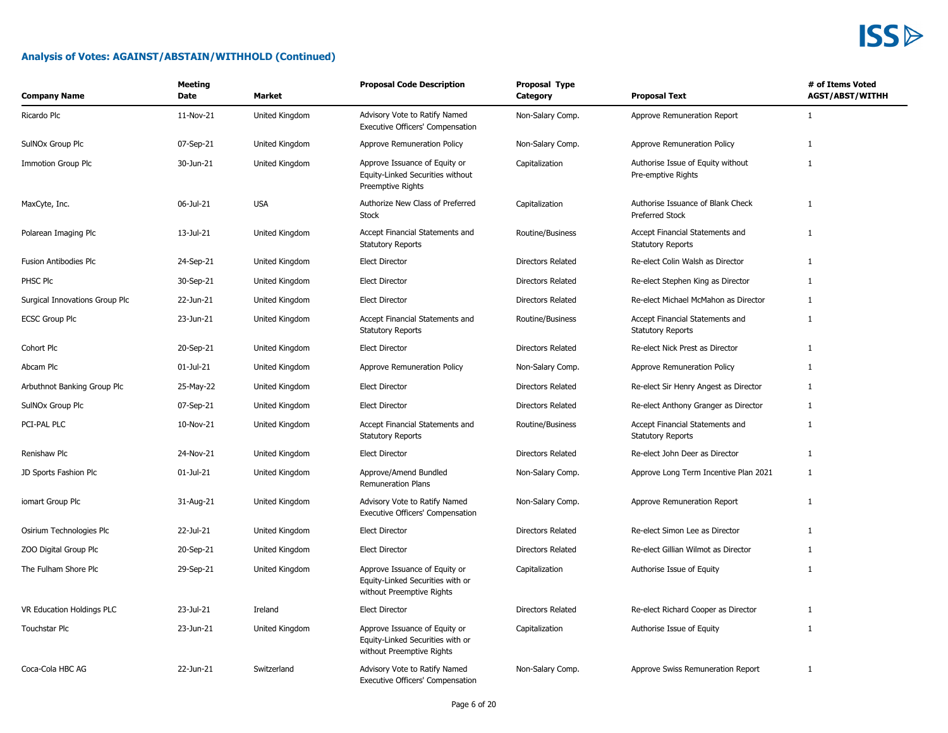| <b>Company Name</b>            | Meeting<br>Date | <b>Market</b>  | <b>Proposal Code Description</b>                                                               | Proposal Type<br>Category | <b>Proposal Text</b>                                        | # of Items Voted<br><b>AGST/ABST/WITHH</b> |
|--------------------------------|-----------------|----------------|------------------------------------------------------------------------------------------------|---------------------------|-------------------------------------------------------------|--------------------------------------------|
| Ricardo Plc                    | 11-Nov-21       | United Kingdom | Advisory Vote to Ratify Named<br>Executive Officers' Compensation                              | Non-Salary Comp.          | Approve Remuneration Report                                 | $\mathbf{1}$                               |
| SulNOx Group Plc               | 07-Sep-21       | United Kingdom | Approve Remuneration Policy                                                                    | Non-Salary Comp.          | Approve Remuneration Policy                                 | $\mathbf{1}$                               |
| <b>Immotion Group Plc</b>      | 30-Jun-21       | United Kingdom | Approve Issuance of Equity or<br>Equity-Linked Securities without<br><b>Preemptive Rights</b>  | Capitalization            | Authorise Issue of Equity without<br>Pre-emptive Rights     | $\mathbf{1}$                               |
| MaxCyte, Inc.                  | 06-Jul-21       | <b>USA</b>     | Authorize New Class of Preferred<br>Stock                                                      | Capitalization            | Authorise Issuance of Blank Check<br><b>Preferred Stock</b> | $\mathbf{1}$                               |
| Polarean Imaging Plc           | 13-Jul-21       | United Kingdom | Accept Financial Statements and<br><b>Statutory Reports</b>                                    | Routine/Business          | Accept Financial Statements and<br><b>Statutory Reports</b> | $\mathbf{1}$                               |
| Fusion Antibodies Plc          | 24-Sep-21       | United Kingdom | <b>Elect Director</b>                                                                          | <b>Directors Related</b>  | Re-elect Colin Walsh as Director                            | $\mathbf{1}$                               |
| PHSC Plc                       | 30-Sep-21       | United Kingdom | <b>Elect Director</b>                                                                          | <b>Directors Related</b>  | Re-elect Stephen King as Director                           | $\mathbf{1}$                               |
| Surgical Innovations Group Plc | 22-Jun-21       | United Kingdom | <b>Elect Director</b>                                                                          | <b>Directors Related</b>  | Re-elect Michael McMahon as Director                        | 1                                          |
| <b>ECSC Group Plc</b>          | 23-Jun-21       | United Kingdom | Accept Financial Statements and<br><b>Statutory Reports</b>                                    | Routine/Business          | Accept Financial Statements and<br><b>Statutory Reports</b> | 1                                          |
| Cohort Plc                     | 20-Sep-21       | United Kingdom | <b>Elect Director</b>                                                                          | <b>Directors Related</b>  | Re-elect Nick Prest as Director                             | $\mathbf{1}$                               |
| Abcam Plc                      | 01-Jul-21       | United Kingdom | Approve Remuneration Policy                                                                    | Non-Salary Comp.          | Approve Remuneration Policy                                 | 1                                          |
| Arbuthnot Banking Group Plc    | 25-May-22       | United Kingdom | <b>Elect Director</b>                                                                          | <b>Directors Related</b>  | Re-elect Sir Henry Angest as Director                       | 1                                          |
| SulNOx Group Plc               | 07-Sep-21       | United Kingdom | <b>Elect Director</b>                                                                          | <b>Directors Related</b>  | Re-elect Anthony Granger as Director                        | $\mathbf{1}$                               |
| PCI-PAL PLC                    | 10-Nov-21       | United Kingdom | Accept Financial Statements and<br><b>Statutory Reports</b>                                    | Routine/Business          | Accept Financial Statements and<br><b>Statutory Reports</b> | $\mathbf{1}$                               |
| Renishaw Plc                   | 24-Nov-21       | United Kingdom | <b>Elect Director</b>                                                                          | <b>Directors Related</b>  | Re-elect John Deer as Director                              | $\mathbf{1}$                               |
| JD Sports Fashion Plc          | $01 -$ Jul-21   | United Kingdom | Approve/Amend Bundled<br><b>Remuneration Plans</b>                                             | Non-Salary Comp.          | Approve Long Term Incentive Plan 2021                       | 1                                          |
| iomart Group Plc               | 31-Aug-21       | United Kingdom | Advisory Vote to Ratify Named<br>Executive Officers' Compensation                              | Non-Salary Comp.          | Approve Remuneration Report                                 | $\mathbf{1}$                               |
| Osirium Technologies Plc       | 22-Jul-21       | United Kingdom | <b>Elect Director</b>                                                                          | Directors Related         | Re-elect Simon Lee as Director                              | $\mathbf{1}$                               |
| ZOO Digital Group Plc          | 20-Sep-21       | United Kingdom | <b>Elect Director</b>                                                                          | <b>Directors Related</b>  | Re-elect Gillian Wilmot as Director                         | 1                                          |
| The Fulham Shore Plc           | 29-Sep-21       | United Kingdom | Approve Issuance of Equity or<br>Equity-Linked Securities with or<br>without Preemptive Rights | Capitalization            | Authorise Issue of Equity                                   | $\mathbf{1}$                               |
| VR Education Holdings PLC      | 23-Jul-21       | Ireland        | <b>Elect Director</b>                                                                          | Directors Related         | Re-elect Richard Cooper as Director                         | $\mathbf{1}$                               |
| Touchstar Plc                  | 23-Jun-21       | United Kingdom | Approve Issuance of Equity or<br>Equity-Linked Securities with or<br>without Preemptive Rights | Capitalization            | Authorise Issue of Equity                                   | $\mathbf{1}$                               |
| Coca-Cola HBC AG               | 22-Jun-21       | Switzerland    | Advisory Vote to Ratify Named<br>Executive Officers' Compensation                              | Non-Salary Comp.          | Approve Swiss Remuneration Report                           | $\mathbf{1}$                               |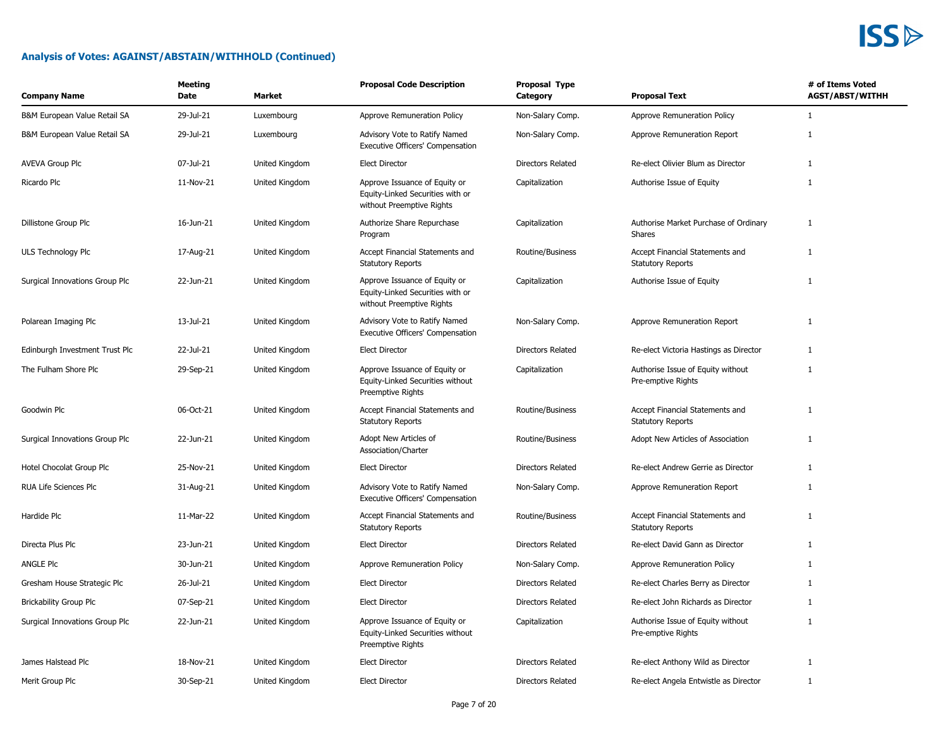| <b>Company Name</b>            | <b>Meeting</b><br>Date | Market         | <b>Proposal Code Description</b>                                                               | Proposal Type<br>Category | <b>Proposal Text</b>                                        | # of Items Voted<br><b>AGST/ABST/WITHH</b> |
|--------------------------------|------------------------|----------------|------------------------------------------------------------------------------------------------|---------------------------|-------------------------------------------------------------|--------------------------------------------|
| B&M European Value Retail SA   | 29-Jul-21              | Luxembourg     | Approve Remuneration Policy                                                                    | Non-Salary Comp.          | Approve Remuneration Policy                                 | 1                                          |
| B&M European Value Retail SA   | 29-Jul-21              | Luxembourg     | Advisory Vote to Ratify Named<br>Executive Officers' Compensation                              | Non-Salary Comp.          | Approve Remuneration Report                                 | $\mathbf{1}$                               |
| <b>AVEVA Group Plc</b>         | 07-Jul-21              | United Kingdom | <b>Elect Director</b>                                                                          | Directors Related         | Re-elect Olivier Blum as Director                           | 1                                          |
| Ricardo Plc                    | 11-Nov-21              | United Kingdom | Approve Issuance of Equity or<br>Equity-Linked Securities with or<br>without Preemptive Rights | Capitalization            | Authorise Issue of Equity                                   | 1                                          |
| Dillistone Group Plc           | 16-Jun-21              | United Kingdom | Authorize Share Repurchase<br>Program                                                          | Capitalization            | Authorise Market Purchase of Ordinary<br>Shares             | $\mathbf{1}$                               |
| ULS Technology Plc             | 17-Aug-21              | United Kingdom | Accept Financial Statements and<br><b>Statutory Reports</b>                                    | Routine/Business          | Accept Financial Statements and<br><b>Statutory Reports</b> | $\mathbf{1}$                               |
| Surgical Innovations Group Plc | 22-Jun-21              | United Kingdom | Approve Issuance of Equity or<br>Equity-Linked Securities with or<br>without Preemptive Rights | Capitalization            | Authorise Issue of Equity                                   | $\mathbf{1}$                               |
| Polarean Imaging Plc           | 13-Jul-21              | United Kingdom | Advisory Vote to Ratify Named<br>Executive Officers' Compensation                              | Non-Salary Comp.          | Approve Remuneration Report                                 | 1                                          |
| Edinburgh Investment Trust Plc | 22-Jul-21              | United Kingdom | <b>Elect Director</b>                                                                          | Directors Related         | Re-elect Victoria Hastings as Director                      | $\mathbf{1}$                               |
| The Fulham Shore Plc           | 29-Sep-21              | United Kingdom | Approve Issuance of Equity or<br>Equity-Linked Securities without<br>Preemptive Rights         | Capitalization            | Authorise Issue of Equity without<br>Pre-emptive Rights     | $\mathbf{1}$                               |
| Goodwin Plc                    | 06-Oct-21              | United Kingdom | Accept Financial Statements and<br><b>Statutory Reports</b>                                    | Routine/Business          | Accept Financial Statements and<br><b>Statutory Reports</b> | $\mathbf{1}$                               |
| Surgical Innovations Group Plc | 22-Jun-21              | United Kingdom | Adopt New Articles of<br>Association/Charter                                                   | Routine/Business          | Adopt New Articles of Association                           | $\mathbf{1}$                               |
| Hotel Chocolat Group Plc       | 25-Nov-21              | United Kingdom | <b>Elect Director</b>                                                                          | Directors Related         | Re-elect Andrew Gerrie as Director                          | $\mathbf{1}$                               |
| RUA Life Sciences Plc          | 31-Aug-21              | United Kingdom | Advisory Vote to Ratify Named<br>Executive Officers' Compensation                              | Non-Salary Comp.          | Approve Remuneration Report                                 | $\mathbf{1}$                               |
| Hardide Plc                    | 11-Mar-22              | United Kingdom | Accept Financial Statements and<br><b>Statutory Reports</b>                                    | Routine/Business          | Accept Financial Statements and<br><b>Statutory Reports</b> | $\mathbf{1}$                               |
| Directa Plus Plc               | 23-Jun-21              | United Kingdom | <b>Elect Director</b>                                                                          | <b>Directors Related</b>  | Re-elect David Gann as Director                             | $\mathbf{1}$                               |
| <b>ANGLE PIC</b>               | 30-Jun-21              | United Kingdom | Approve Remuneration Policy                                                                    | Non-Salary Comp.          | Approve Remuneration Policy                                 | 1                                          |
| Gresham House Strategic Plc    | 26-Jul-21              | United Kingdom | <b>Elect Director</b>                                                                          | Directors Related         | Re-elect Charles Berry as Director                          | $\mathbf{1}$                               |
| <b>Brickability Group Plc</b>  | 07-Sep-21              | United Kingdom | <b>Elect Director</b>                                                                          | <b>Directors Related</b>  | Re-elect John Richards as Director                          | $\mathbf{1}$                               |
| Surgical Innovations Group Plc | 22-Jun-21              | United Kingdom | Approve Issuance of Equity or<br>Equity-Linked Securities without<br>Preemptive Rights         | Capitalization            | Authorise Issue of Equity without<br>Pre-emptive Rights     | $\mathbf{1}$                               |
| James Halstead Plc             | 18-Nov-21              | United Kingdom | <b>Elect Director</b>                                                                          | Directors Related         | Re-elect Anthony Wild as Director                           | 1                                          |
| Merit Group Plc                | 30-Sep-21              | United Kingdom | <b>Elect Director</b>                                                                          | Directors Related         | Re-elect Angela Entwistle as Director                       | $\mathbf{1}$                               |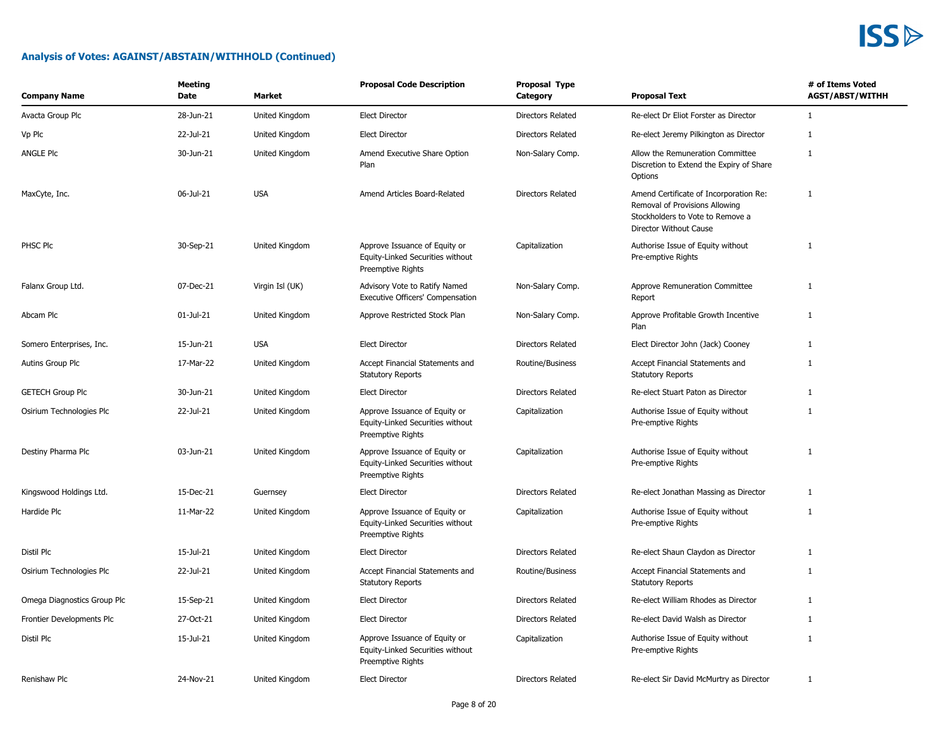| <b>Company Name</b>         | <b>Meeting</b><br><b>Date</b> | <b>Market</b>   | <b>Proposal Code Description</b>                                                              | Proposal Type<br>Category | <b>Proposal Text</b>                                                                                                                   | # of Items Voted<br><b>AGST/ABST/WITHH</b> |
|-----------------------------|-------------------------------|-----------------|-----------------------------------------------------------------------------------------------|---------------------------|----------------------------------------------------------------------------------------------------------------------------------------|--------------------------------------------|
| Avacta Group Plc            | 28-Jun-21                     | United Kingdom  | <b>Elect Director</b>                                                                         | Directors Related         | Re-elect Dr Eliot Forster as Director                                                                                                  | $\mathbf{1}$                               |
| Vp Plc                      | 22-Jul-21                     | United Kingdom  | <b>Elect Director</b>                                                                         | <b>Directors Related</b>  | Re-elect Jeremy Pilkington as Director                                                                                                 | 1                                          |
| ANGLE Plc                   | 30-Jun-21                     | United Kingdom  | Amend Executive Share Option<br>Plan                                                          | Non-Salary Comp.          | Allow the Remuneration Committee<br>Discretion to Extend the Expiry of Share<br>Options                                                | $\mathbf{1}$                               |
| MaxCyte, Inc.               | 06-Jul-21                     | <b>USA</b>      | Amend Articles Board-Related                                                                  | Directors Related         | Amend Certificate of Incorporation Re:<br>Removal of Provisions Allowing<br>Stockholders to Vote to Remove a<br>Director Without Cause | $\mathbf{1}$                               |
| PHSC Plc                    | 30-Sep-21                     | United Kingdom  | Approve Issuance of Equity or<br>Equity-Linked Securities without<br>Preemptive Rights        | Capitalization            | Authorise Issue of Equity without<br>Pre-emptive Rights                                                                                | $\mathbf{1}$                               |
| Falanx Group Ltd.           | 07-Dec-21                     | Virgin Isl (UK) | Advisory Vote to Ratify Named<br>Executive Officers' Compensation                             | Non-Salary Comp.          | Approve Remuneration Committee<br>Report                                                                                               | $\mathbf{1}$                               |
| Abcam Plc                   | $01$ -Jul-21                  | United Kingdom  | Approve Restricted Stock Plan                                                                 | Non-Salary Comp.          | Approve Profitable Growth Incentive<br>Plan                                                                                            | $\mathbf{1}$                               |
| Somero Enterprises, Inc.    | 15-Jun-21                     | <b>USA</b>      | <b>Elect Director</b>                                                                         | <b>Directors Related</b>  | Elect Director John (Jack) Cooney                                                                                                      | 1                                          |
| Autins Group Plc            | 17-Mar-22                     | United Kingdom  | Accept Financial Statements and<br><b>Statutory Reports</b>                                   | Routine/Business          | Accept Financial Statements and<br><b>Statutory Reports</b>                                                                            | $\mathbf{1}$                               |
| <b>GETECH Group Plc</b>     | 30-Jun-21                     | United Kingdom  | <b>Elect Director</b>                                                                         | Directors Related         | Re-elect Stuart Paton as Director                                                                                                      | $\mathbf{1}$                               |
| Osirium Technologies Plc    | 22-Jul-21                     | United Kingdom  | Approve Issuance of Equity or<br>Equity-Linked Securities without<br>Preemptive Rights        | Capitalization            | Authorise Issue of Equity without<br>Pre-emptive Rights                                                                                | $\mathbf{1}$                               |
| Destiny Pharma Plc          | 03-Jun-21                     | United Kingdom  | Approve Issuance of Equity or<br>Equity-Linked Securities without<br><b>Preemptive Rights</b> | Capitalization            | Authorise Issue of Equity without<br>Pre-emptive Rights                                                                                | $\mathbf{1}$                               |
| Kingswood Holdings Ltd.     | 15-Dec-21                     | Guernsey        | <b>Elect Director</b>                                                                         | Directors Related         | Re-elect Jonathan Massing as Director                                                                                                  | $\mathbf{1}$                               |
| Hardide Plc                 | 11-Mar-22                     | United Kingdom  | Approve Issuance of Equity or<br>Equity-Linked Securities without<br>Preemptive Rights        | Capitalization            | Authorise Issue of Equity without<br>Pre-emptive Rights                                                                                | $\mathbf{1}$                               |
| Distil Plc                  | 15-Jul-21                     | United Kingdom  | <b>Elect Director</b>                                                                         | <b>Directors Related</b>  | Re-elect Shaun Claydon as Director                                                                                                     | 1                                          |
| Osirium Technologies Plc    | 22-Jul-21                     | United Kingdom  | Accept Financial Statements and<br><b>Statutory Reports</b>                                   | Routine/Business          | Accept Financial Statements and<br><b>Statutory Reports</b>                                                                            | $\mathbf{1}$                               |
| Omega Diagnostics Group Plc | 15-Sep-21                     | United Kingdom  | <b>Elect Director</b>                                                                         | Directors Related         | Re-elect William Rhodes as Director                                                                                                    | $\mathbf{1}$                               |
| Frontier Developments Plc   | 27-Oct-21                     | United Kingdom  | <b>Elect Director</b>                                                                         | Directors Related         | Re-elect David Walsh as Director                                                                                                       | $\mathbf{1}$                               |
| Distil Plc                  | 15-Jul-21                     | United Kingdom  | Approve Issuance of Equity or<br>Equity-Linked Securities without<br><b>Preemptive Rights</b> | Capitalization            | Authorise Issue of Equity without<br>Pre-emptive Rights                                                                                | $\mathbf{1}$                               |
| Renishaw Plc                | 24-Nov-21                     | United Kingdom  | <b>Elect Director</b>                                                                         | Directors Related         | Re-elect Sir David McMurtry as Director                                                                                                | $\mathbf{1}$                               |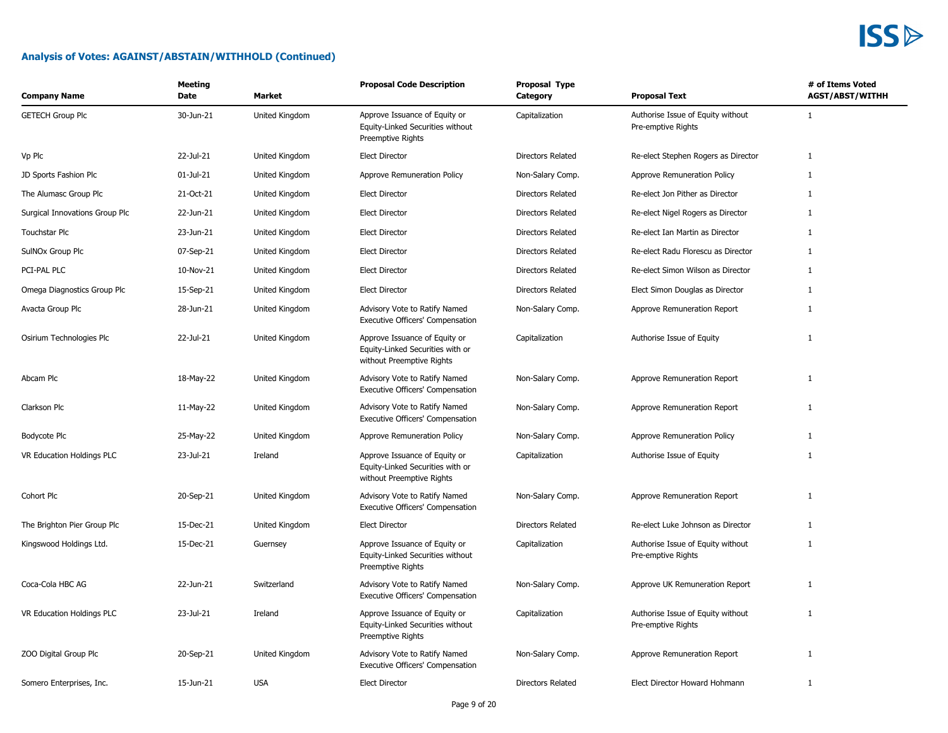

| <b>Company Name</b>            | Meeting<br>Date | Market         | <b>Proposal Code Description</b>                                                               | Proposal Type<br>Category | <b>Proposal Text</b>                                    | # of Items Voted<br><b>AGST/ABST/WITHH</b> |
|--------------------------------|-----------------|----------------|------------------------------------------------------------------------------------------------|---------------------------|---------------------------------------------------------|--------------------------------------------|
| <b>GETECH Group Plc</b>        | 30-Jun-21       | United Kingdom | Approve Issuance of Equity or<br>Equity-Linked Securities without<br>Preemptive Rights         | Capitalization            | Authorise Issue of Equity without<br>Pre-emptive Rights | $\mathbf{1}$                               |
| Vp Plc                         | 22-Jul-21       | United Kingdom | <b>Elect Director</b>                                                                          | Directors Related         | Re-elect Stephen Rogers as Director                     | $\mathbf{1}$                               |
| JD Sports Fashion Plc          | 01-Jul-21       | United Kingdom | Approve Remuneration Policy                                                                    | Non-Salary Comp.          | Approve Remuneration Policy                             | 1                                          |
| The Alumasc Group Plc          | 21-Oct-21       | United Kingdom | Elect Director                                                                                 | <b>Directors Related</b>  | Re-elect Jon Pither as Director                         | 1                                          |
| Surgical Innovations Group Plc | 22-Jun-21       | United Kingdom | <b>Elect Director</b>                                                                          | Directors Related         | Re-elect Nigel Rogers as Director                       | $\mathbf{1}$                               |
| Touchstar Plc                  | 23-Jun-21       | United Kingdom | <b>Elect Director</b>                                                                          | <b>Directors Related</b>  | Re-elect Ian Martin as Director                         | 1                                          |
| SulNOx Group Plc               | 07-Sep-21       | United Kingdom | <b>Elect Director</b>                                                                          | Directors Related         | Re-elect Radu Florescu as Director                      | $\mathbf{1}$                               |
| PCI-PAL PLC                    | 10-Nov-21       | United Kingdom | <b>Elect Director</b>                                                                          | <b>Directors Related</b>  | Re-elect Simon Wilson as Director                       | $\mathbf{1}$                               |
| Omega Diagnostics Group Plc    | 15-Sep-21       | United Kingdom | <b>Elect Director</b>                                                                          | Directors Related         | Elect Simon Douglas as Director                         | 1                                          |
| Avacta Group Plc               | 28-Jun-21       | United Kingdom | Advisory Vote to Ratify Named<br>Executive Officers' Compensation                              | Non-Salary Comp.          | Approve Remuneration Report                             | $\mathbf{1}$                               |
| Osirium Technologies Plc       | 22-Jul-21       | United Kingdom | Approve Issuance of Equity or<br>Equity-Linked Securities with or<br>without Preemptive Rights | Capitalization            | Authorise Issue of Equity                               | $\mathbf{1}$                               |
| Abcam Plc                      | 18-May-22       | United Kingdom | Advisory Vote to Ratify Named<br>Executive Officers' Compensation                              | Non-Salary Comp.          | Approve Remuneration Report                             | $\mathbf{1}$                               |
| Clarkson Plc                   | 11-May-22       | United Kingdom | Advisory Vote to Ratify Named<br>Executive Officers' Compensation                              | Non-Salary Comp.          | Approve Remuneration Report                             | $\mathbf{1}$                               |
| Bodycote Plc                   | 25-May-22       | United Kingdom | Approve Remuneration Policy                                                                    | Non-Salary Comp.          | Approve Remuneration Policy                             | $\mathbf{1}$                               |
| VR Education Holdings PLC      | 23-Jul-21       | Ireland        | Approve Issuance of Equity or<br>Equity-Linked Securities with or<br>without Preemptive Rights | Capitalization            | Authorise Issue of Equity                               | $\mathbf{1}$                               |
| Cohort Plc                     | 20-Sep-21       | United Kingdom | Advisory Vote to Ratify Named<br>Executive Officers' Compensation                              | Non-Salary Comp.          | Approve Remuneration Report                             | $\mathbf{1}$                               |
| The Brighton Pier Group Plc    | 15-Dec-21       | United Kingdom | <b>Elect Director</b>                                                                          | Directors Related         | Re-elect Luke Johnson as Director                       | 1                                          |
| Kingswood Holdings Ltd.        | 15-Dec-21       | Guernsey       | Approve Issuance of Equity or<br>Equity-Linked Securities without<br>Preemptive Rights         | Capitalization            | Authorise Issue of Equity without<br>Pre-emptive Rights | $\mathbf{1}$                               |
| Coca-Cola HBC AG               | 22-Jun-21       | Switzerland    | Advisory Vote to Ratify Named<br>Executive Officers' Compensation                              | Non-Salary Comp.          | Approve UK Remuneration Report                          | 1                                          |
| VR Education Holdings PLC      | 23-Jul-21       | Ireland        | Approve Issuance of Equity or<br>Equity-Linked Securities without<br>Preemptive Rights         | Capitalization            | Authorise Issue of Equity without<br>Pre-emptive Rights | $\mathbf{1}$                               |
| ZOO Digital Group Plc          | 20-Sep-21       | United Kingdom | Advisory Vote to Ratify Named<br>Executive Officers' Compensation                              | Non-Salary Comp.          | Approve Remuneration Report                             | $\mathbf{1}$                               |
| Somero Enterprises, Inc.       | 15-Jun-21       | <b>USA</b>     | <b>Elect Director</b>                                                                          | Directors Related         | Elect Director Howard Hohmann                           | $\mathbf{1}$                               |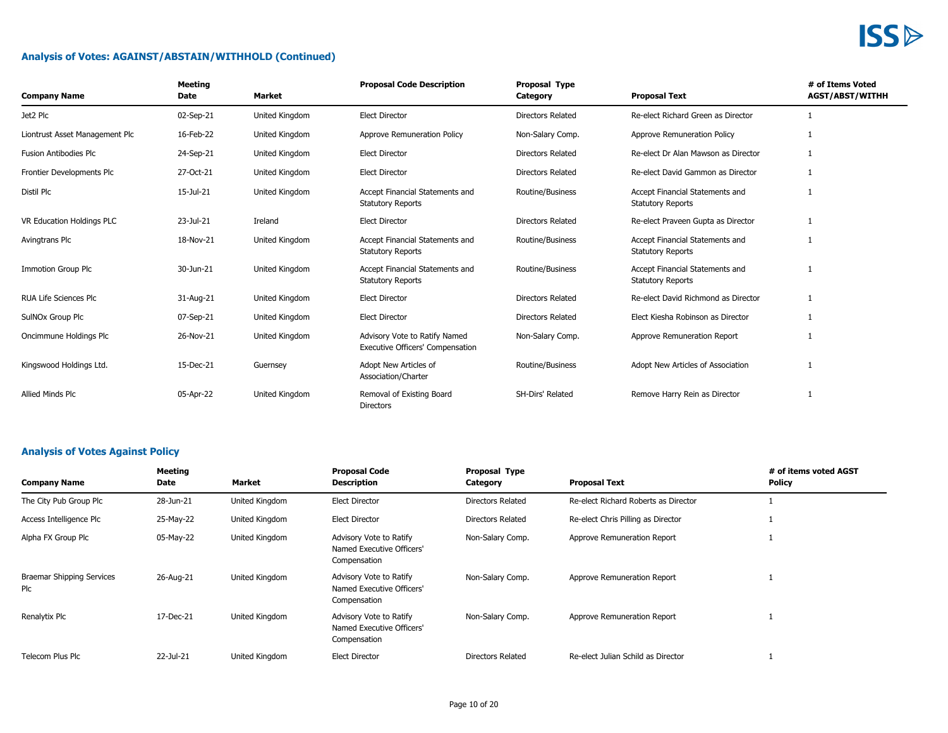### **Analysis of Votes: AGAINST/ABSTAIN/WITHHOLD (Continued)**

| <b>Company Name</b>            | <b>Meeting</b><br>Date | Market         | <b>Proposal Code Description</b>                                         | <b>Proposal Type</b><br>Category | <b>Proposal Text</b>                                        | # of Items Voted<br><b>AGST/ABST/WITHH</b> |
|--------------------------------|------------------------|----------------|--------------------------------------------------------------------------|----------------------------------|-------------------------------------------------------------|--------------------------------------------|
| Jet2 Plc                       | 02-Sep-21              | United Kingdom | <b>Elect Director</b>                                                    | Directors Related                | Re-elect Richard Green as Director                          |                                            |
| Liontrust Asset Management Plc | 16-Feb-22              | United Kingdom | Approve Remuneration Policy                                              | Non-Salary Comp.                 | Approve Remuneration Policy                                 |                                            |
| <b>Fusion Antibodies Plc</b>   | 24-Sep-21              | United Kingdom | <b>Elect Director</b>                                                    | <b>Directors Related</b>         | Re-elect Dr Alan Mawson as Director                         |                                            |
| Frontier Developments Plc      | 27-Oct-21              | United Kingdom | <b>Elect Director</b>                                                    | Directors Related                | Re-elect David Gammon as Director                           |                                            |
| Distil Plc                     | 15-Jul-21              | United Kingdom | Accept Financial Statements and<br><b>Statutory Reports</b>              | Routine/Business                 | Accept Financial Statements and<br><b>Statutory Reports</b> |                                            |
| VR Education Holdings PLC      | 23-Jul-21              | Ireland        | <b>Elect Director</b>                                                    | <b>Directors Related</b>         | Re-elect Praveen Gupta as Director                          | 1                                          |
| Avingtrans Plc                 | 18-Nov-21              | United Kingdom | Accept Financial Statements and<br><b>Statutory Reports</b>              | Routine/Business                 | Accept Financial Statements and<br><b>Statutory Reports</b> |                                            |
| <b>Immotion Group Plc</b>      | 30-Jun-21              | United Kingdom | Accept Financial Statements and<br><b>Statutory Reports</b>              | Routine/Business                 | Accept Financial Statements and<br><b>Statutory Reports</b> |                                            |
| <b>RUA Life Sciences Plc</b>   | 31-Aug-21              | United Kingdom | <b>Elect Director</b>                                                    | <b>Directors Related</b>         | Re-elect David Richmond as Director                         | 1                                          |
| SulNOx Group Plc               | 07-Sep-21              | United Kingdom | <b>Elect Director</b>                                                    | Directors Related                | Elect Kiesha Robinson as Director                           | $\mathbf{1}$                               |
| Oncimmune Holdings Plc         | 26-Nov-21              | United Kingdom | Advisory Vote to Ratify Named<br><b>Executive Officers' Compensation</b> | Non-Salary Comp.                 | Approve Remuneration Report                                 |                                            |
| Kingswood Holdings Ltd.        | 15-Dec-21              | Guernsey       | Adopt New Articles of<br>Association/Charter                             | Routine/Business                 | Adopt New Articles of Association                           |                                            |
| Allied Minds Plc               | 05-Apr-22              | United Kingdom | Removal of Existing Board<br>Directors                                   | SH-Dirs' Related                 | Remove Harry Rein as Director                               |                                            |

### **Analysis of Votes Against Policy**

| <b>Company Name</b>                     | Meeting<br>Date | Market         | <b>Proposal Code</b><br><b>Description</b>                           | <b>Proposal Type</b><br>Category | <b>Proposal Text</b>                 | # of items voted AGST<br><b>Policy</b> |
|-----------------------------------------|-----------------|----------------|----------------------------------------------------------------------|----------------------------------|--------------------------------------|----------------------------------------|
| The City Pub Group Plc                  | 28-Jun-21       | United Kingdom | <b>Elect Director</b>                                                | Directors Related                | Re-elect Richard Roberts as Director |                                        |
| Access Intelligence Plc                 | 25-May-22       | United Kingdom | <b>Elect Director</b>                                                | Directors Related                | Re-elect Chris Pilling as Director   |                                        |
| Alpha FX Group Plc                      | 05-May-22       | United Kingdom | Advisory Vote to Ratify<br>Named Executive Officers'<br>Compensation | Non-Salary Comp.                 | Approve Remuneration Report          |                                        |
| <b>Braemar Shipping Services</b><br>Plc | 26-Aug-21       | United Kingdom | Advisory Vote to Ratify<br>Named Executive Officers'<br>Compensation | Non-Salary Comp.                 | Approve Remuneration Report          |                                        |
| Renalytix Plc                           | 17-Dec-21       | United Kingdom | Advisory Vote to Ratify<br>Named Executive Officers'<br>Compensation | Non-Salary Comp.                 | Approve Remuneration Report          |                                        |
| Telecom Plus Plc                        | 22-Jul-21       | United Kingdom | <b>Elect Director</b>                                                | Directors Related                | Re-elect Julian Schild as Director   |                                        |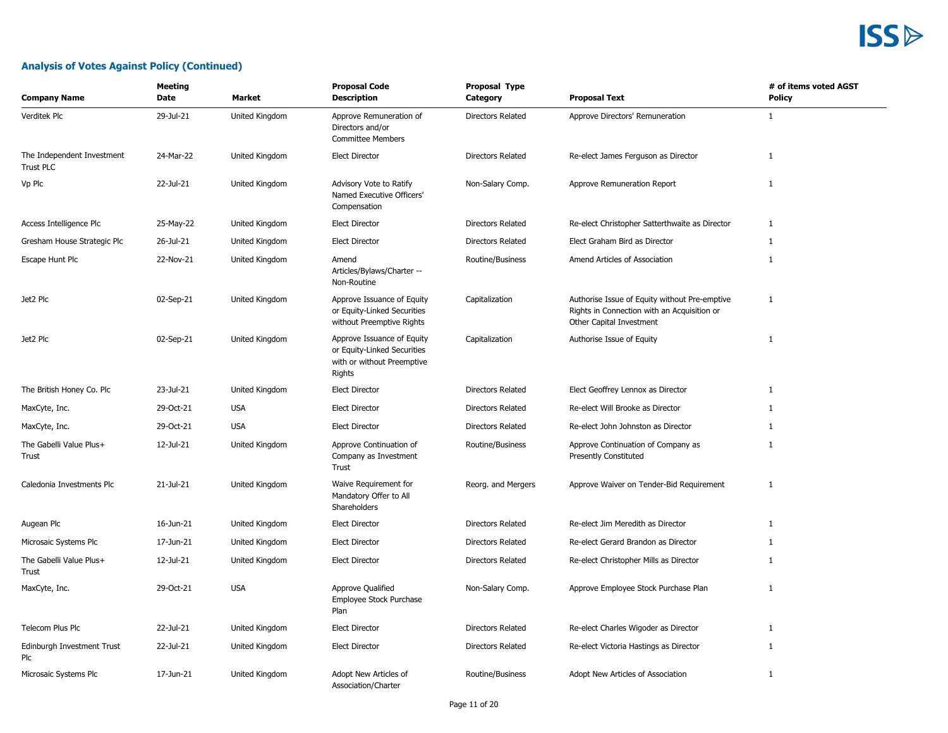### **Analysis of Votes Against Policy (Continued)**

| <b>Company Name</b>                     | Meeting<br>Date | Market         | <b>Proposal Code</b><br><b>Description</b>                                                        | <b>Proposal Type</b><br>Category | <b>Proposal Text</b>                                                                                                     | # of items voted AGST<br>Policy |
|-----------------------------------------|-----------------|----------------|---------------------------------------------------------------------------------------------------|----------------------------------|--------------------------------------------------------------------------------------------------------------------------|---------------------------------|
| Verditek Plc                            | 29-Jul-21       | United Kingdom | Approve Remuneration of<br>Directors and/or<br><b>Committee Members</b>                           | <b>Directors Related</b>         | Approve Directors' Remuneration                                                                                          | 1                               |
| The Independent Investment<br>Trust PLC | 24-Mar-22       | United Kingdom | <b>Elect Director</b>                                                                             | Directors Related                | Re-elect James Ferguson as Director                                                                                      | 1                               |
| Vp Plc                                  | 22-Jul-21       | United Kingdom | Advisory Vote to Ratify<br>Named Executive Officers'<br>Compensation                              | Non-Salary Comp.                 | Approve Remuneration Report                                                                                              | $\mathbf{1}$                    |
| Access Intelligence Plc                 | 25-May-22       | United Kingdom | <b>Elect Director</b>                                                                             | Directors Related                | Re-elect Christopher Satterthwaite as Director                                                                           | $\mathbf{1}$                    |
| Gresham House Strategic Plc             | 26-Jul-21       | United Kingdom | <b>Elect Director</b>                                                                             | Directors Related                | Elect Graham Bird as Director                                                                                            | 1                               |
| Escape Hunt Plc                         | 22-Nov-21       | United Kingdom | Amend<br>Articles/Bylaws/Charter --<br>Non-Routine                                                | Routine/Business                 | Amend Articles of Association                                                                                            | $\mathbf{1}$                    |
| Jet2 Plc                                | 02-Sep-21       | United Kingdom | Approve Issuance of Equity<br>or Equity-Linked Securities<br>without Preemptive Rights            | Capitalization                   | Authorise Issue of Equity without Pre-emptive<br>Rights in Connection with an Acquisition or<br>Other Capital Investment | $\mathbf{1}$                    |
| Jet2 Plc                                | 02-Sep-21       | United Kingdom | Approve Issuance of Equity<br>or Equity-Linked Securities<br>with or without Preemptive<br>Rights | Capitalization                   | Authorise Issue of Equity                                                                                                | $\mathbf{1}$                    |
| The British Honey Co. Plc               | 23-Jul-21       | United Kingdom | <b>Elect Director</b>                                                                             | Directors Related                | Elect Geoffrey Lennox as Director                                                                                        | $\mathbf{1}$                    |
| MaxCyte, Inc.                           | 29-Oct-21       | <b>USA</b>     | <b>Elect Director</b>                                                                             | Directors Related                | Re-elect Will Brooke as Director                                                                                         | $\mathbf{1}$                    |
| MaxCyte, Inc.                           | 29-Oct-21       | <b>USA</b>     | <b>Elect Director</b>                                                                             | Directors Related                | Re-elect John Johnston as Director                                                                                       | $\mathbf{1}$                    |
| The Gabelli Value Plus+<br>Trust        | 12-Jul-21       | United Kingdom | Approve Continuation of<br>Company as Investment<br>Trust                                         | Routine/Business                 | Approve Continuation of Company as<br>Presently Constituted                                                              | $\mathbf{1}$                    |
| Caledonia Investments Plc               | 21-Jul-21       | United Kingdom | Waive Requirement for<br>Mandatory Offer to All<br>Shareholders                                   | Reorg. and Mergers               | Approve Waiver on Tender-Bid Requirement                                                                                 | 1                               |
| Augean Plc                              | 16-Jun-21       | United Kingdom | <b>Elect Director</b>                                                                             | Directors Related                | Re-elect Jim Meredith as Director                                                                                        | $\mathbf{1}$                    |
| Microsaic Systems Plc                   | 17-Jun-21       | United Kingdom | <b>Elect Director</b>                                                                             | Directors Related                | Re-elect Gerard Brandon as Director                                                                                      | 1                               |
| The Gabelli Value Plus+<br>Trust        | 12-Jul-21       | United Kingdom | <b>Elect Director</b>                                                                             | Directors Related                | Re-elect Christopher Mills as Director                                                                                   | $\mathbf{1}$                    |
| MaxCyte, Inc.                           | 29-Oct-21       | <b>USA</b>     | Approve Qualified<br>Employee Stock Purchase<br>Plan                                              | Non-Salary Comp.                 | Approve Employee Stock Purchase Plan                                                                                     | $\mathbf{1}$                    |
| Telecom Plus Plc                        | 22-Jul-21       | United Kingdom | <b>Elect Director</b>                                                                             | Directors Related                | Re-elect Charles Wigoder as Director                                                                                     | $\mathbf{1}$                    |
| Edinburgh Investment Trust<br>Plc       | 22-Jul-21       | United Kingdom | <b>Elect Director</b>                                                                             | Directors Related                | Re-elect Victoria Hastings as Director                                                                                   | $\mathbf{1}$                    |
| Microsaic Systems Plc                   | 17-Jun-21       | United Kingdom | Adopt New Articles of<br>Association/Charter                                                      | Routine/Business                 | Adopt New Articles of Association                                                                                        | $\mathbf{1}$                    |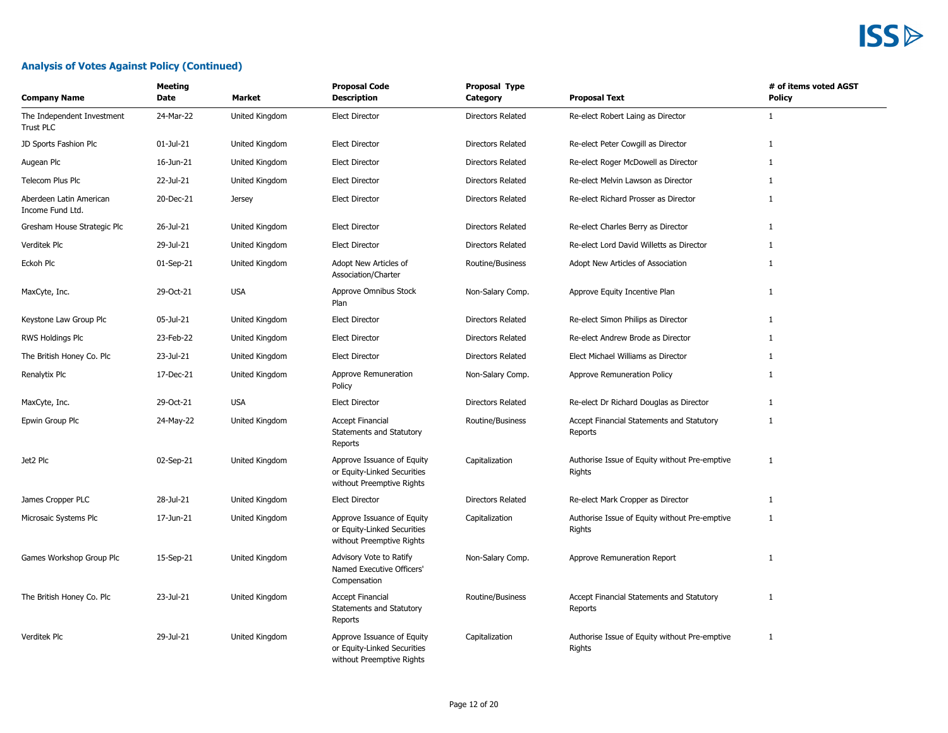### **Analysis of Votes Against Policy (Continued)**

| <b>Company Name</b>                            | Meeting<br>Date | Market         | <b>Proposal Code</b><br><b>Description</b>                                             | Proposal Type<br>Category | <b>Proposal Text</b>                                    | # of items voted AGST<br>Policy |
|------------------------------------------------|-----------------|----------------|----------------------------------------------------------------------------------------|---------------------------|---------------------------------------------------------|---------------------------------|
| The Independent Investment<br><b>Trust PLC</b> | 24-Mar-22       | United Kingdom | <b>Elect Director</b>                                                                  | Directors Related         | Re-elect Robert Laing as Director                       | 1                               |
| JD Sports Fashion Plc                          | 01-Jul-21       | United Kingdom | <b>Elect Director</b>                                                                  | Directors Related         | Re-elect Peter Cowgill as Director                      | 1                               |
| Augean Plc                                     | 16-Jun-21       | United Kingdom | <b>Elect Director</b>                                                                  | Directors Related         | Re-elect Roger McDowell as Director                     | 1                               |
| Telecom Plus Plc                               | 22-Jul-21       | United Kingdom | <b>Elect Director</b>                                                                  | Directors Related         | Re-elect Melvin Lawson as Director                      | 1                               |
| Aberdeen Latin American<br>Income Fund Ltd.    | 20-Dec-21       | <b>Jersey</b>  | <b>Elect Director</b>                                                                  | <b>Directors Related</b>  | Re-elect Richard Prosser as Director                    | 1                               |
| Gresham House Strategic Plc                    | 26-Jul-21       | United Kingdom | <b>Elect Director</b>                                                                  | Directors Related         | Re-elect Charles Berry as Director                      | 1                               |
| Verditek Plc                                   | 29-Jul-21       | United Kingdom | <b>Elect Director</b>                                                                  | <b>Directors Related</b>  | Re-elect Lord David Willetts as Director                | 1                               |
| Eckoh Plc                                      | 01-Sep-21       | United Kingdom | Adopt New Articles of<br>Association/Charter                                           | Routine/Business          | Adopt New Articles of Association                       | 1                               |
| MaxCyte, Inc.                                  | 29-Oct-21       | <b>USA</b>     | Approve Omnibus Stock<br>Plan                                                          | Non-Salary Comp.          | Approve Equity Incentive Plan                           | $\mathbf{1}$                    |
| Keystone Law Group Plc                         | 05-Jul-21       | United Kingdom | <b>Elect Director</b>                                                                  | Directors Related         | Re-elect Simon Philips as Director                      | 1                               |
| <b>RWS Holdings Plc</b>                        | 23-Feb-22       | United Kingdom | <b>Elect Director</b>                                                                  | <b>Directors Related</b>  | Re-elect Andrew Brode as Director                       | $\mathbf{1}$                    |
| The British Honey Co. Plc                      | 23-Jul-21       | United Kingdom | <b>Elect Director</b>                                                                  | Directors Related         | Elect Michael Williams as Director                      | 1                               |
| Renalytix Plc                                  | 17-Dec-21       | United Kingdom | Approve Remuneration<br>Policy                                                         | Non-Salary Comp.          | Approve Remuneration Policy                             | 1                               |
| MaxCyte, Inc.                                  | 29-Oct-21       | <b>USA</b>     | <b>Elect Director</b>                                                                  | Directors Related         | Re-elect Dr Richard Douglas as Director                 | $\mathbf{1}$                    |
| Epwin Group Plc                                | 24-May-22       | United Kingdom | <b>Accept Financial</b><br>Statements and Statutory<br>Reports                         | Routine/Business          | Accept Financial Statements and Statutory<br>Reports    | $\mathbf{1}$                    |
| Jet2 Plc                                       | 02-Sep-21       | United Kingdom | Approve Issuance of Equity<br>or Equity-Linked Securities<br>without Preemptive Rights | Capitalization            | Authorise Issue of Equity without Pre-emptive<br>Rights | 1                               |
| James Cropper PLC                              | 28-Jul-21       | United Kingdom | <b>Elect Director</b>                                                                  | Directors Related         | Re-elect Mark Cropper as Director                       | 1                               |
| Microsaic Systems Plc                          | 17-Jun-21       | United Kingdom | Approve Issuance of Equity<br>or Equity-Linked Securities<br>without Preemptive Rights | Capitalization            | Authorise Issue of Equity without Pre-emptive<br>Rights | 1                               |
| Games Workshop Group Plc                       | 15-Sep-21       | United Kingdom | Advisory Vote to Ratify<br>Named Executive Officers'<br>Compensation                   | Non-Salary Comp.          | Approve Remuneration Report                             | 1                               |
| The British Honey Co. Plc                      | 23-Jul-21       | United Kingdom | <b>Accept Financial</b><br>Statements and Statutory<br>Reports                         | Routine/Business          | Accept Financial Statements and Statutory<br>Reports    | 1                               |
| Verditek Plc                                   | 29-Jul-21       | United Kingdom | Approve Issuance of Equity<br>or Equity-Linked Securities<br>without Preemptive Rights | Capitalization            | Authorise Issue of Equity without Pre-emptive<br>Rights | 1                               |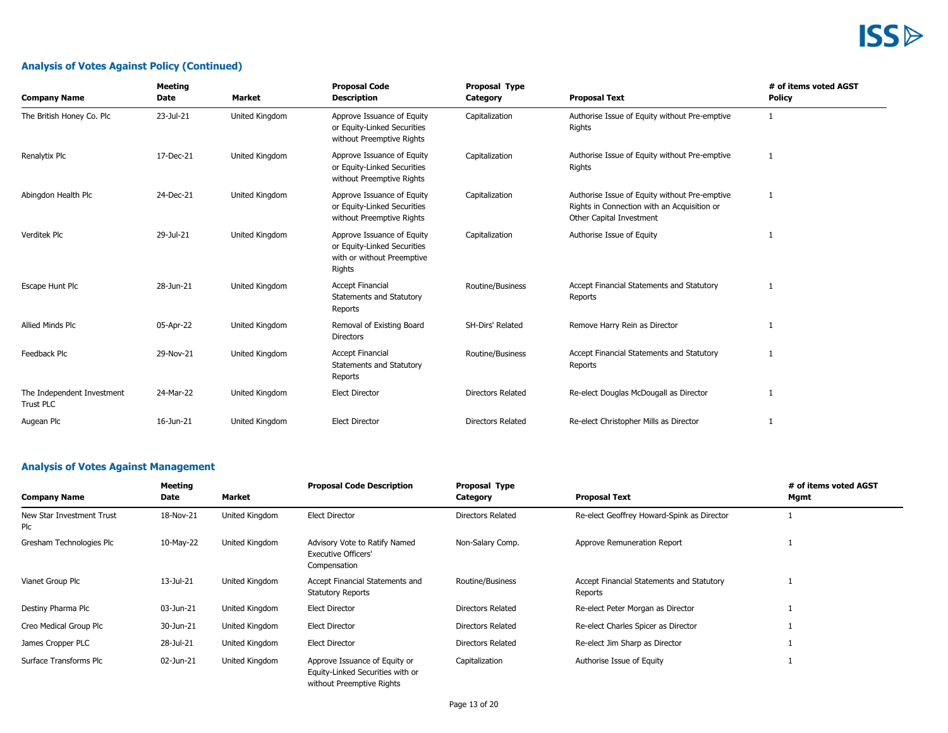### **Analysis of Votes Against Policy (Continued)**

| <b>Company Name</b>                     | <b>Meeting</b><br><b>Date</b> | Market         | <b>Proposal Code</b><br><b>Description</b>                                                        | <b>Proposal Type</b><br>Category | <b>Proposal Text</b>                                                                                                     | # of items voted AGST<br><b>Policy</b> |
|-----------------------------------------|-------------------------------|----------------|---------------------------------------------------------------------------------------------------|----------------------------------|--------------------------------------------------------------------------------------------------------------------------|----------------------------------------|
| The British Honey Co. Plc               | 23-Jul-21                     | United Kingdom | Approve Issuance of Equity<br>or Equity-Linked Securities<br>without Preemptive Rights            | Capitalization                   | Authorise Issue of Equity without Pre-emptive<br>Rights                                                                  | 1                                      |
| Renalytix Plc                           | 17-Dec-21                     | United Kingdom | Approve Issuance of Equity<br>or Equity-Linked Securities<br>without Preemptive Rights            | Capitalization                   | Authorise Issue of Equity without Pre-emptive<br>Rights                                                                  | 1                                      |
| Abingdon Health Plc                     | 24-Dec-21                     | United Kingdom | Approve Issuance of Equity<br>or Equity-Linked Securities<br>without Preemptive Rights            | Capitalization                   | Authorise Issue of Equity without Pre-emptive<br>Rights in Connection with an Acquisition or<br>Other Capital Investment | 1                                      |
| Verditek Plc                            | 29-Jul-21                     | United Kingdom | Approve Issuance of Equity<br>or Equity-Linked Securities<br>with or without Preemptive<br>Rights | Capitalization                   | Authorise Issue of Equity                                                                                                |                                        |
| Escape Hunt Plc                         | 28-Jun-21                     | United Kingdom | <b>Accept Financial</b><br>Statements and Statutory<br>Reports                                    | Routine/Business                 | Accept Financial Statements and Statutory<br>Reports                                                                     | -1                                     |
| Allied Minds Plc                        | 05-Apr-22                     | United Kingdom | Removal of Existing Board<br><b>Directors</b>                                                     | SH-Dirs' Related                 | Remove Harry Rein as Director                                                                                            | 1                                      |
| Feedback Plc                            | 29-Nov-21                     | United Kingdom | <b>Accept Financial</b><br>Statements and Statutory<br>Reports                                    | Routine/Business                 | Accept Financial Statements and Statutory<br>Reports                                                                     | -1                                     |
| The Independent Investment<br>Trust PLC | 24-Mar-22                     | United Kingdom | <b>Elect Director</b>                                                                             | <b>Directors Related</b>         | Re-elect Douglas McDougall as Director                                                                                   | 1                                      |
| Augean Plc                              | 16-Jun-21                     | United Kingdom | <b>Elect Director</b>                                                                             | <b>Directors Related</b>         | Re-elect Christopher Mills as Director                                                                                   | 1                                      |

### **Analysis of Votes Against Management**

| <b>Company Name</b>              | Meeting<br>Date | Market         | <b>Proposal Code Description</b>                                            | Proposal Type<br>Category | <b>Proposal Text</b>                                 | # of items voted AGST<br>Mgmt |
|----------------------------------|-----------------|----------------|-----------------------------------------------------------------------------|---------------------------|------------------------------------------------------|-------------------------------|
| New Star Investment Trust<br>Plc | 18-Nov-21       | United Kingdom | <b>Elect Director</b>                                                       | Directors Related         | Re-elect Geoffrey Howard-Spink as Director           |                               |
| Gresham Technologies Plc         | 10-May-22       | United Kingdom | Advisory Vote to Ratify Named<br><b>Executive Officers'</b><br>Compensation | Non-Salary Comp.          | Approve Remuneration Report                          |                               |
| Vianet Group Plc                 | 13-Jul-21       | United Kingdom | Accept Financial Statements and<br><b>Statutory Reports</b>                 | Routine/Business          | Accept Financial Statements and Statutory<br>Reports |                               |
| Destiny Pharma Plc               | 03-Jun-21       | United Kingdom | <b>Elect Director</b>                                                       | Directors Related         | Re-elect Peter Morgan as Director                    |                               |
| Creo Medical Group Plc           | 30-Jun-21       | United Kingdom | <b>Elect Director</b>                                                       | Directors Related         | Re-elect Charles Spicer as Director                  |                               |
| James Cropper PLC                | 28-Jul-21       | United Kingdom | <b>Elect Director</b>                                                       | Directors Related         | Re-elect Jim Sharp as Director                       |                               |
| Surface Transforms Plc           | 02-Jun-21       | United Kingdom | Approve Issuance of Equity or<br>Equity-Linked Securities with or           | Capitalization            | Authorise Issue of Equity                            |                               |

without Preemptive Rights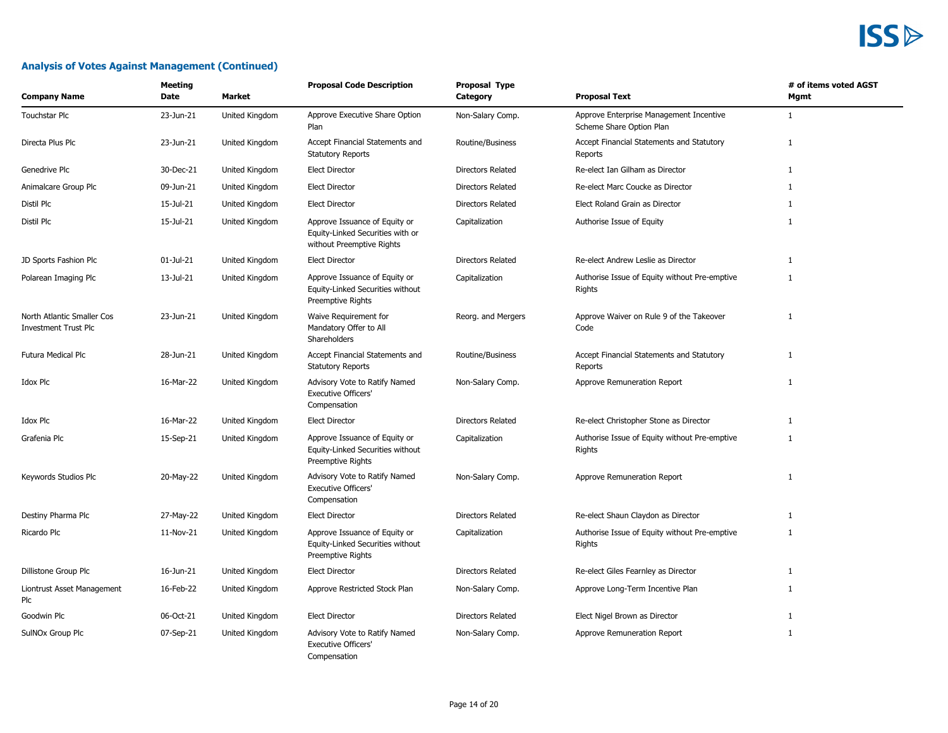| <b>Company Name</b>                                       | Meeting<br>Date | Market         | <b>Proposal Code Description</b>                                                               | <b>Proposal Type</b><br>Category | <b>Proposal Text</b>                                                | # of items voted AGST<br>Mgmt |
|-----------------------------------------------------------|-----------------|----------------|------------------------------------------------------------------------------------------------|----------------------------------|---------------------------------------------------------------------|-------------------------------|
| Touchstar Plc                                             | 23-Jun-21       | United Kingdom | Approve Executive Share Option<br>Plan                                                         | Non-Salary Comp.                 | Approve Enterprise Management Incentive<br>Scheme Share Option Plan | $\mathbf{1}$                  |
| Directa Plus Plc                                          | 23-Jun-21       | United Kingdom | Accept Financial Statements and<br><b>Statutory Reports</b>                                    | Routine/Business                 | Accept Financial Statements and Statutory<br>Reports                | $\mathbf{1}$                  |
| Genedrive Plc                                             | 30-Dec-21       | United Kingdom | <b>Elect Director</b>                                                                          | Directors Related                | Re-elect Ian Gilham as Director                                     | $\mathbf{1}$                  |
| Animalcare Group Plc                                      | 09-Jun-21       | United Kingdom | <b>Elect Director</b>                                                                          | <b>Directors Related</b>         | Re-elect Marc Coucke as Director                                    | $\mathbf{1}$                  |
| Distil Plc                                                | 15-Jul-21       | United Kingdom | <b>Elect Director</b>                                                                          | Directors Related                | Elect Roland Grain as Director                                      | $\mathbf{1}$                  |
| Distil Plc                                                | 15-Jul-21       | United Kingdom | Approve Issuance of Equity or<br>Equity-Linked Securities with or<br>without Preemptive Rights | Capitalization                   | Authorise Issue of Equity                                           | $\mathbf{1}$                  |
| JD Sports Fashion Plc                                     | 01-Jul-21       | United Kingdom | <b>Elect Director</b>                                                                          | <b>Directors Related</b>         | Re-elect Andrew Leslie as Director                                  | $\mathbf{1}$                  |
| Polarean Imaging Plc                                      | 13-Jul-21       | United Kingdom | Approve Issuance of Equity or<br>Equity-Linked Securities without<br>Preemptive Rights         | Capitalization                   | Authorise Issue of Equity without Pre-emptive<br>Rights             | $\mathbf{1}$                  |
| North Atlantic Smaller Cos<br><b>Investment Trust Plc</b> | 23-Jun-21       | United Kingdom | Waive Requirement for<br>Mandatory Offer to All<br>Shareholders                                | Reorg. and Mergers               | Approve Waiver on Rule 9 of the Takeover<br>Code                    | $\mathbf{1}$                  |
| Futura Medical Plc                                        | 28-Jun-21       | United Kingdom | Accept Financial Statements and<br><b>Statutory Reports</b>                                    | Routine/Business                 | Accept Financial Statements and Statutory<br>Reports                | 1                             |
| Idox Plc                                                  | 16-Mar-22       | United Kingdom | Advisory Vote to Ratify Named<br><b>Executive Officers'</b><br>Compensation                    | Non-Salary Comp.                 | Approve Remuneration Report                                         | 1                             |
| Idox Plc                                                  | 16-Mar-22       | United Kingdom | <b>Elect Director</b>                                                                          | <b>Directors Related</b>         | Re-elect Christopher Stone as Director                              | $\mathbf{1}$                  |
| Grafenia Plc                                              | 15-Sep-21       | United Kingdom | Approve Issuance of Equity or<br>Equity-Linked Securities without<br>Preemptive Rights         | Capitalization                   | Authorise Issue of Equity without Pre-emptive<br>Rights             | $\mathbf{1}$                  |
| Keywords Studios Plc                                      | 20-May-22       | United Kingdom | Advisory Vote to Ratify Named<br>Executive Officers'<br>Compensation                           | Non-Salary Comp.                 | Approve Remuneration Report                                         | 1                             |
| Destiny Pharma Plc                                        | 27-May-22       | United Kingdom | <b>Elect Director</b>                                                                          | <b>Directors Related</b>         | Re-elect Shaun Claydon as Director                                  | $\mathbf{1}$                  |
| Ricardo Plc                                               | 11-Nov-21       | United Kingdom | Approve Issuance of Equity or<br>Equity-Linked Securities without<br>Preemptive Rights         | Capitalization                   | Authorise Issue of Equity without Pre-emptive<br>Rights             | 1                             |
| Dillistone Group Plc                                      | 16-Jun-21       | United Kingdom | <b>Elect Director</b>                                                                          | <b>Directors Related</b>         | Re-elect Giles Fearnley as Director                                 | 1                             |
| Liontrust Asset Management<br>Plc                         | 16-Feb-22       | United Kingdom | Approve Restricted Stock Plan                                                                  | Non-Salary Comp.                 | Approve Long-Term Incentive Plan                                    | 1                             |
| Goodwin Plc                                               | 06-Oct-21       | United Kingdom | <b>Elect Director</b>                                                                          | <b>Directors Related</b>         | Elect Nigel Brown as Director                                       | $\mathbf{1}$                  |
| SulNOx Group Plc                                          | 07-Sep-21       | United Kingdom | Advisory Vote to Ratify Named<br><b>Executive Officers'</b><br>Compensation                    | Non-Salary Comp.                 | Approve Remuneration Report                                         | $\mathbf{1}$                  |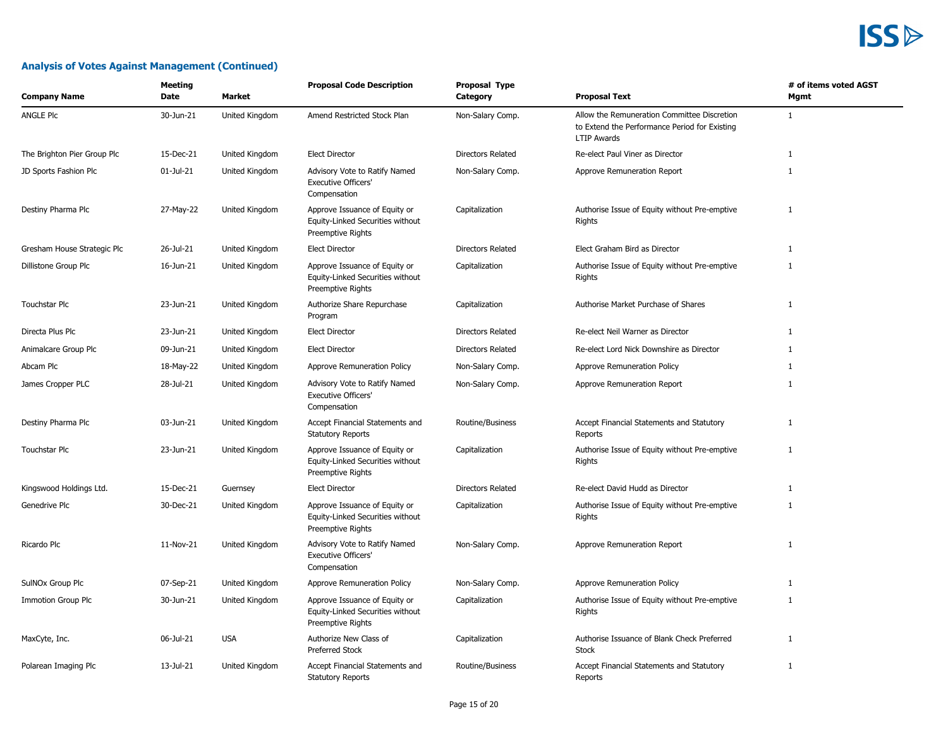| <b>Company Name</b>         | Meeting<br>Date | Market         | <b>Proposal Code Description</b>                                                       | Proposal Type<br>Category | <b>Proposal Text</b>                                                                                               | # of items voted AGST<br>Mgmt |
|-----------------------------|-----------------|----------------|----------------------------------------------------------------------------------------|---------------------------|--------------------------------------------------------------------------------------------------------------------|-------------------------------|
| <b>ANGLE PIC</b>            | 30-Jun-21       | United Kingdom | Amend Restricted Stock Plan                                                            | Non-Salary Comp.          | Allow the Remuneration Committee Discretion<br>to Extend the Performance Period for Existing<br><b>LTIP Awards</b> | 1                             |
| The Brighton Pier Group Plc | 15-Dec-21       | United Kingdom | <b>Elect Director</b>                                                                  | Directors Related         | Re-elect Paul Viner as Director                                                                                    | 1                             |
| JD Sports Fashion Plc       | $01$ -Jul-21    | United Kingdom | Advisory Vote to Ratify Named<br><b>Executive Officers'</b><br>Compensation            | Non-Salary Comp.          | Approve Remuneration Report                                                                                        | 1                             |
| Destiny Pharma Plc          | 27-May-22       | United Kingdom | Approve Issuance of Equity or<br>Equity-Linked Securities without<br>Preemptive Rights | Capitalization            | Authorise Issue of Equity without Pre-emptive<br>Rights                                                            | 1                             |
| Gresham House Strategic Plc | 26-Jul-21       | United Kingdom | <b>Elect Director</b>                                                                  | <b>Directors Related</b>  | Elect Graham Bird as Director                                                                                      | 1                             |
| Dillistone Group Plc        | 16-Jun-21       | United Kingdom | Approve Issuance of Equity or<br>Equity-Linked Securities without<br>Preemptive Rights | Capitalization            | Authorise Issue of Equity without Pre-emptive<br>Rights                                                            | $\mathbf{1}$                  |
| Touchstar Plc               | 23-Jun-21       | United Kingdom | Authorize Share Repurchase<br>Program                                                  | Capitalization            | Authorise Market Purchase of Shares                                                                                | $\mathbf{1}$                  |
| Directa Plus Plc            | 23-Jun-21       | United Kingdom | <b>Elect Director</b>                                                                  | <b>Directors Related</b>  | Re-elect Neil Warner as Director                                                                                   | 1                             |
| Animalcare Group Plc        | 09-Jun-21       | United Kingdom | <b>Elect Director</b>                                                                  | Directors Related         | Re-elect Lord Nick Downshire as Director                                                                           | 1                             |
| Abcam Plc                   | 18-May-22       | United Kingdom | Approve Remuneration Policy                                                            | Non-Salary Comp.          | Approve Remuneration Policy                                                                                        | 1                             |
| James Cropper PLC           | 28-Jul-21       | United Kingdom | Advisory Vote to Ratify Named<br><b>Executive Officers'</b><br>Compensation            | Non-Salary Comp.          | Approve Remuneration Report                                                                                        | 1                             |
| Destiny Pharma Plc          | 03-Jun-21       | United Kingdom | Accept Financial Statements and<br><b>Statutory Reports</b>                            | Routine/Business          | Accept Financial Statements and Statutory<br>Reports                                                               | $\mathbf{1}$                  |
| Touchstar Plc               | 23-Jun-21       | United Kingdom | Approve Issuance of Equity or<br>Equity-Linked Securities without<br>Preemptive Rights | Capitalization            | Authorise Issue of Equity without Pre-emptive<br>Rights                                                            | 1                             |
| Kingswood Holdings Ltd.     | 15-Dec-21       | Guernsey       | <b>Elect Director</b>                                                                  | Directors Related         | Re-elect David Hudd as Director                                                                                    | 1                             |
| Genedrive Plc               | 30-Dec-21       | United Kingdom | Approve Issuance of Equity or<br>Equity-Linked Securities without<br>Preemptive Rights | Capitalization            | Authorise Issue of Equity without Pre-emptive<br>Rights                                                            | $\mathbf{1}$                  |
| Ricardo Plc                 | 11-Nov-21       | United Kingdom | Advisory Vote to Ratify Named<br>Executive Officers'<br>Compensation                   | Non-Salary Comp.          | Approve Remuneration Report                                                                                        | 1                             |
| SulNOx Group Plc            | 07-Sep-21       | United Kingdom | Approve Remuneration Policy                                                            | Non-Salary Comp.          | Approve Remuneration Policy                                                                                        | $\mathbf{1}$                  |
| Immotion Group Plc          | 30-Jun-21       | United Kingdom | Approve Issuance of Equity or<br>Equity-Linked Securities without<br>Preemptive Rights | Capitalization            | Authorise Issue of Equity without Pre-emptive<br>Rights                                                            | 1                             |
| MaxCyte, Inc.               | 06-Jul-21       | <b>USA</b>     | Authorize New Class of<br><b>Preferred Stock</b>                                       | Capitalization            | Authorise Issuance of Blank Check Preferred<br><b>Stock</b>                                                        | $\mathbf{1}$                  |
| Polarean Imaging Plc        | 13-Jul-21       | United Kingdom | Accept Financial Statements and<br><b>Statutory Reports</b>                            | Routine/Business          | Accept Financial Statements and Statutory<br>Reports                                                               | 1                             |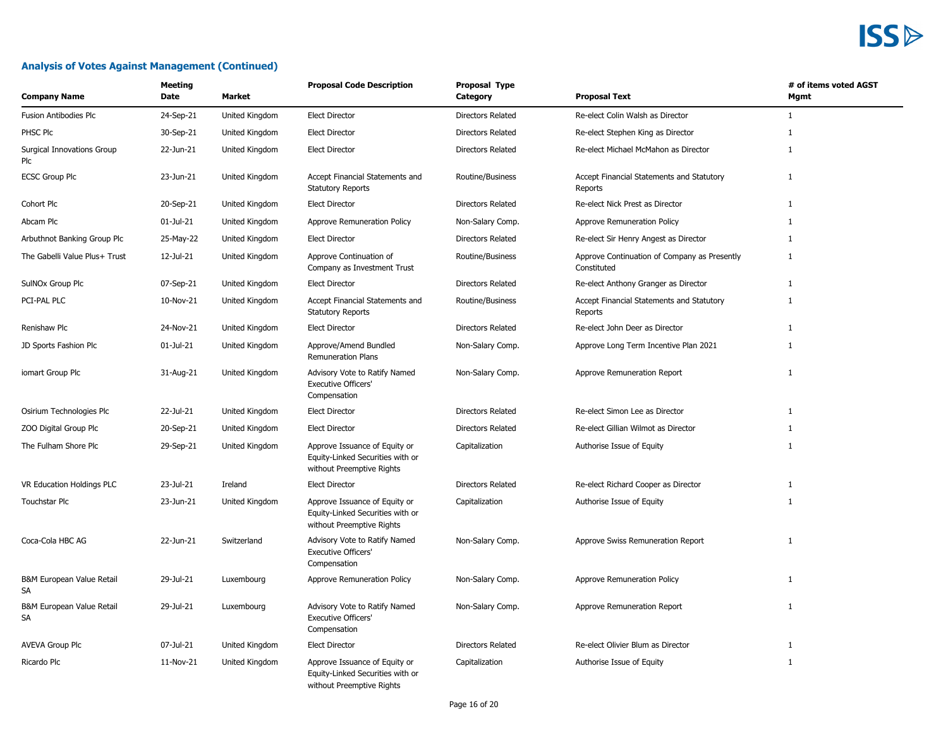| <b>Company Name</b>               | Meeting<br>Date | Market         | <b>Proposal Code Description</b>                                                               | Proposal Type<br>Category | <b>Proposal Text</b>                                        | # of items voted AGST<br>Mgmt |
|-----------------------------------|-----------------|----------------|------------------------------------------------------------------------------------------------|---------------------------|-------------------------------------------------------------|-------------------------------|
| <b>Fusion Antibodies Plc</b>      | 24-Sep-21       | United Kingdom | <b>Elect Director</b>                                                                          | Directors Related         | Re-elect Colin Walsh as Director                            | $\mathbf{1}$                  |
| PHSC Plc                          | 30-Sep-21       | United Kingdom | <b>Elect Director</b>                                                                          | <b>Directors Related</b>  | Re-elect Stephen King as Director                           | 1                             |
| Surgical Innovations Group<br>Plc | 22-Jun-21       | United Kingdom | <b>Elect Director</b>                                                                          | Directors Related         | Re-elect Michael McMahon as Director                        | $\mathbf{1}$                  |
| <b>ECSC Group Plc</b>             | 23-Jun-21       | United Kingdom | Accept Financial Statements and<br><b>Statutory Reports</b>                                    | Routine/Business          | Accept Financial Statements and Statutory<br>Reports        | 1                             |
| Cohort Plc                        | 20-Sep-21       | United Kingdom | <b>Elect Director</b>                                                                          | Directors Related         | Re-elect Nick Prest as Director                             | $\mathbf{1}$                  |
| Abcam Plc                         | 01-Jul-21       | United Kingdom | Approve Remuneration Policy                                                                    | Non-Salary Comp.          | Approve Remuneration Policy                                 | $\mathbf{1}$                  |
| Arbuthnot Banking Group Plc       | 25-May-22       | United Kingdom | <b>Elect Director</b>                                                                          | Directors Related         | Re-elect Sir Henry Angest as Director                       | 1                             |
| The Gabelli Value Plus+ Trust     | 12-Jul-21       | United Kingdom | Approve Continuation of<br>Company as Investment Trust                                         | Routine/Business          | Approve Continuation of Company as Presently<br>Constituted | $\mathbf{1}$                  |
| SulNOx Group Plc                  | 07-Sep-21       | United Kingdom | <b>Elect Director</b>                                                                          | Directors Related         | Re-elect Anthony Granger as Director                        | $\mathbf{1}$                  |
| PCI-PAL PLC                       | 10-Nov-21       | United Kingdom | Accept Financial Statements and<br><b>Statutory Reports</b>                                    | Routine/Business          | Accept Financial Statements and Statutory<br>Reports        | $\mathbf{1}$                  |
| Renishaw Plc                      | 24-Nov-21       | United Kingdom | <b>Elect Director</b>                                                                          | <b>Directors Related</b>  | Re-elect John Deer as Director                              | $\mathbf{1}$                  |
| JD Sports Fashion Plc             | 01-Jul-21       | United Kingdom | Approve/Amend Bundled<br><b>Remuneration Plans</b>                                             | Non-Salary Comp.          | Approve Long Term Incentive Plan 2021                       | $\mathbf{1}$                  |
| iomart Group Plc                  | 31-Aug-21       | United Kingdom | Advisory Vote to Ratify Named<br><b>Executive Officers'</b><br>Compensation                    | Non-Salary Comp.          | Approve Remuneration Report                                 | $\mathbf{1}$                  |
| Osirium Technologies Plc          | 22-Jul-21       | United Kingdom | <b>Elect Director</b>                                                                          | Directors Related         | Re-elect Simon Lee as Director                              | $\mathbf{1}$                  |
| ZOO Digital Group Plc             | 20-Sep-21       | United Kingdom | Elect Director                                                                                 | <b>Directors Related</b>  | Re-elect Gillian Wilmot as Director                         | 1                             |
| The Fulham Shore Plc              | 29-Sep-21       | United Kingdom | Approve Issuance of Equity or<br>Equity-Linked Securities with or<br>without Preemptive Rights | Capitalization            | Authorise Issue of Equity                                   | $\mathbf{1}$                  |
| VR Education Holdings PLC         | 23-Jul-21       | Ireland        | <b>Elect Director</b>                                                                          | Directors Related         | Re-elect Richard Cooper as Director                         | 1                             |
| <b>Touchstar Plc</b>              | 23-Jun-21       | United Kingdom | Approve Issuance of Equity or<br>Equity-Linked Securities with or<br>without Preemptive Rights | Capitalization            | Authorise Issue of Equity                                   | $\mathbf{1}$                  |
| Coca-Cola HBC AG                  | 22-Jun-21       | Switzerland    | Advisory Vote to Ratify Named<br><b>Executive Officers'</b><br>Compensation                    | Non-Salary Comp.          | Approve Swiss Remuneration Report                           | $\mathbf{1}$                  |
| B&M European Value Retail<br>SA   | 29-Jul-21       | Luxembourg     | Approve Remuneration Policy                                                                    | Non-Salary Comp.          | Approve Remuneration Policy                                 | $\mathbf{1}$                  |
| B&M European Value Retail<br>SA   | 29-Jul-21       | Luxembourg     | Advisory Vote to Ratify Named<br><b>Executive Officers'</b><br>Compensation                    | Non-Salary Comp.          | Approve Remuneration Report                                 | $\mathbf{1}$                  |
| <b>AVEVA Group Plc</b>            | 07-Jul-21       | United Kingdom | <b>Elect Director</b>                                                                          | <b>Directors Related</b>  | Re-elect Olivier Blum as Director                           | $\mathbf{1}$                  |
| Ricardo Plc                       | 11-Nov-21       | United Kingdom | Approve Issuance of Equity or<br>Equity-Linked Securities with or<br>without Preemptive Rights | Capitalization            | Authorise Issue of Equity                                   | 1                             |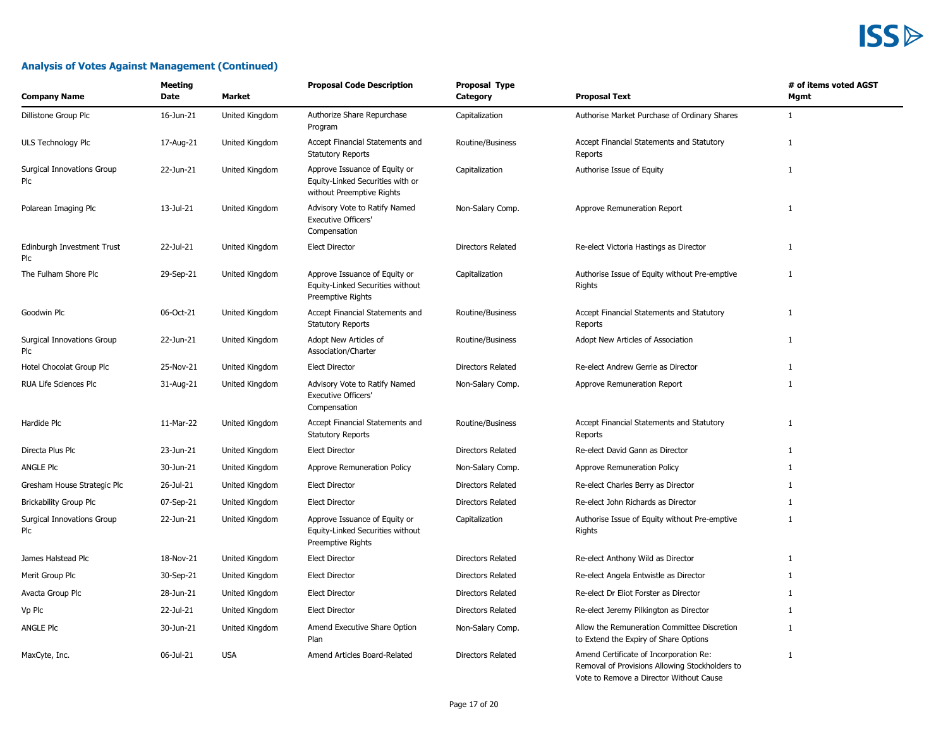#### **Analysis of Votes Against Management (Continued)**

| <b>Company Name</b>                      | <b>Meeting</b><br>Date | <b>Market</b>  | <b>Proposal Code Description</b>                                                               | Proposal Type<br>Category | <b>Proposal Text</b>                                                                     | # of items voted AGST<br>Mgmt |
|------------------------------------------|------------------------|----------------|------------------------------------------------------------------------------------------------|---------------------------|------------------------------------------------------------------------------------------|-------------------------------|
| Dillistone Group Plc                     | 16-Jun-21              | United Kingdom | Authorize Share Repurchase<br>Program                                                          | Capitalization            | Authorise Market Purchase of Ordinary Shares                                             | $\mathbf{1}$                  |
| ULS Technology Plc                       | 17-Aug-21              | United Kingdom | Accept Financial Statements and<br><b>Statutory Reports</b>                                    | Routine/Business          | Accept Financial Statements and Statutory<br>Reports                                     | $\mathbf{1}$                  |
| <b>Surgical Innovations Group</b><br>Plc | 22-Jun-21              | United Kingdom | Approve Issuance of Equity or<br>Equity-Linked Securities with or<br>without Preemptive Rights | Capitalization            | Authorise Issue of Equity                                                                | $\mathbf{1}$                  |
| Polarean Imaging Plc                     | 13-Jul-21              | United Kingdom | Advisory Vote to Ratify Named<br><b>Executive Officers'</b><br>Compensation                    | Non-Salary Comp.          | Approve Remuneration Report                                                              | 1                             |
| Edinburgh Investment Trust<br>Plc        | 22-Jul-21              | United Kingdom | <b>Elect Director</b>                                                                          | <b>Directors Related</b>  | Re-elect Victoria Hastings as Director                                                   | 1                             |
| The Fulham Shore Plc                     | 29-Sep-21              | United Kingdom | Approve Issuance of Equity or<br>Equity-Linked Securities without<br>Preemptive Rights         | Capitalization            | Authorise Issue of Equity without Pre-emptive<br>Rights                                  | $\mathbf{1}$                  |
| Goodwin Plc                              | 06-Oct-21              | United Kingdom | Accept Financial Statements and<br><b>Statutory Reports</b>                                    | Routine/Business          | Accept Financial Statements and Statutory<br>Reports                                     | 1                             |
| <b>Surgical Innovations Group</b><br>Plc | 22-Jun-21              | United Kingdom | Adopt New Articles of<br>Association/Charter                                                   | Routine/Business          | Adopt New Articles of Association                                                        | 1                             |
| Hotel Chocolat Group Plc                 | 25-Nov-21              | United Kingdom | <b>Elect Director</b>                                                                          | <b>Directors Related</b>  | Re-elect Andrew Gerrie as Director                                                       | $\mathbf{1}$                  |
| RUA Life Sciences Plc                    | 31-Aug-21              | United Kingdom | Advisory Vote to Ratify Named<br><b>Executive Officers'</b><br>Compensation                    | Non-Salary Comp.          | Approve Remuneration Report                                                              | 1                             |
| Hardide Plc                              | 11-Mar-22              | United Kingdom | Accept Financial Statements and<br><b>Statutory Reports</b>                                    | Routine/Business          | Accept Financial Statements and Statutory<br>Reports                                     | $\mathbf{1}$                  |
| Directa Plus Plc                         | 23-Jun-21              | United Kingdom | <b>Elect Director</b>                                                                          | <b>Directors Related</b>  | Re-elect David Gann as Director                                                          | 1                             |
| <b>ANGLE PIC</b>                         | 30-Jun-21              | United Kingdom | Approve Remuneration Policy                                                                    | Non-Salary Comp.          | Approve Remuneration Policy                                                              | 1                             |
| Gresham House Strategic Plc              | 26-Jul-21              | United Kingdom | <b>Elect Director</b>                                                                          | Directors Related         | Re-elect Charles Berry as Director                                                       | 1                             |
| <b>Brickability Group Plc</b>            | 07-Sep-21              | United Kingdom | <b>Elect Director</b>                                                                          | <b>Directors Related</b>  | Re-elect John Richards as Director                                                       | $\mathbf{1}$                  |
| <b>Surgical Innovations Group</b><br>Plc | 22-Jun-21              | United Kingdom | Approve Issuance of Equity or<br>Equity-Linked Securities without<br>Preemptive Rights         | Capitalization            | Authorise Issue of Equity without Pre-emptive<br>Rights                                  | $\mathbf{1}$                  |
| James Halstead Plc                       | 18-Nov-21              | United Kingdom | <b>Elect Director</b>                                                                          | <b>Directors Related</b>  | Re-elect Anthony Wild as Director                                                        | 1                             |
| Merit Group Plc                          | 30-Sep-21              | United Kingdom | <b>Elect Director</b>                                                                          | <b>Directors Related</b>  | Re-elect Angela Entwistle as Director                                                    | $\mathbf{1}$                  |
| Avacta Group Plc                         | 28-Jun-21              | United Kingdom | <b>Elect Director</b>                                                                          | <b>Directors Related</b>  | Re-elect Dr Eliot Forster as Director                                                    | 1                             |
| Vp Plc                                   | 22-Jul-21              | United Kingdom | <b>Elect Director</b>                                                                          | <b>Directors Related</b>  | Re-elect Jeremy Pilkington as Director                                                   | $\mathbf{1}$                  |
| ANGLE PIC                                | 30-Jun-21              | United Kingdom | Amend Executive Share Option<br>Plan                                                           | Non-Salary Comp.          | Allow the Remuneration Committee Discretion<br>to Extend the Expiry of Share Options     | $\mathbf{1}$                  |
| MaxCyte, Inc.                            | 06-Jul-21              | <b>USA</b>     | Amend Articles Board-Related                                                                   | <b>Directors Related</b>  | Amend Certificate of Incorporation Re:<br>Removal of Provisions Allowing Stockholders to | 1                             |

Vote to Remove a Director Without Cause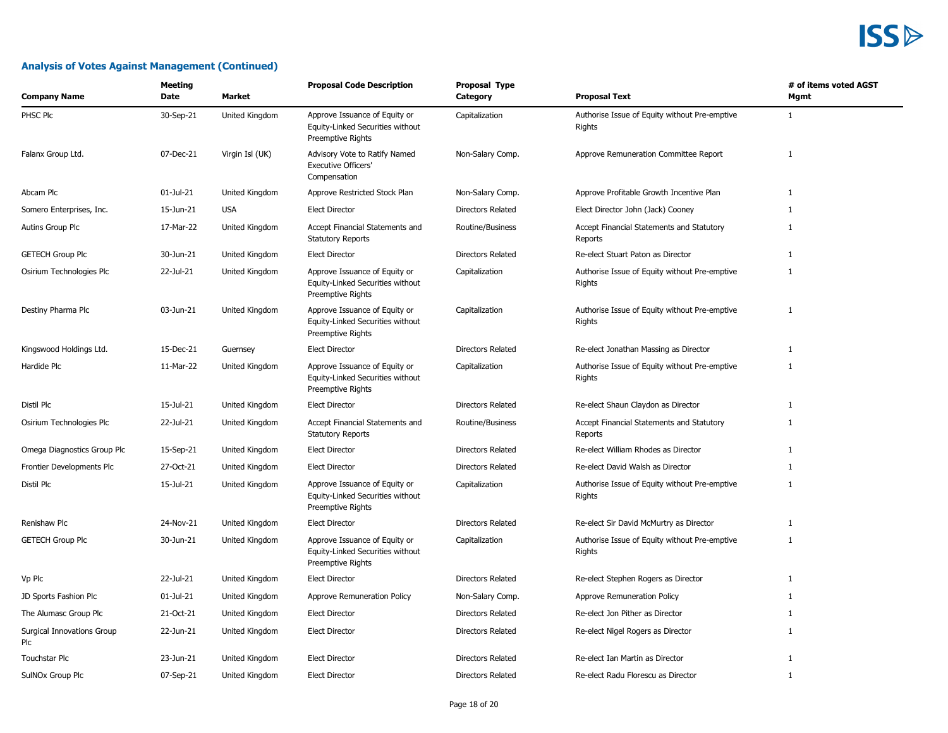| <b>Company Name</b>               | <b>Meeting</b><br>Date | <b>Market</b>   | <b>Proposal Code Description</b>                                                       | <b>Proposal Type</b><br>Category | <b>Proposal Text</b>                                    | # of items voted AGST<br>Mgmt |
|-----------------------------------|------------------------|-----------------|----------------------------------------------------------------------------------------|----------------------------------|---------------------------------------------------------|-------------------------------|
| PHSC Plc                          | 30-Sep-21              | United Kingdom  | Approve Issuance of Equity or<br>Equity-Linked Securities without<br>Preemptive Rights | Capitalization                   | Authorise Issue of Equity without Pre-emptive<br>Rights | 1                             |
| Falanx Group Ltd.                 | 07-Dec-21              | Virgin Isl (UK) | Advisory Vote to Ratify Named<br><b>Executive Officers'</b><br>Compensation            | Non-Salary Comp.                 | Approve Remuneration Committee Report                   | $\mathbf{1}$                  |
| Abcam Plc                         | 01-Jul-21              | United Kingdom  | Approve Restricted Stock Plan                                                          | Non-Salary Comp.                 | Approve Profitable Growth Incentive Plan                | $\mathbf{1}$                  |
| Somero Enterprises, Inc.          | 15-Jun-21              | <b>USA</b>      | <b>Elect Director</b>                                                                  | <b>Directors Related</b>         | Elect Director John (Jack) Cooney                       | 1                             |
| Autins Group Plc                  | 17-Mar-22              | United Kingdom  | Accept Financial Statements and<br><b>Statutory Reports</b>                            | Routine/Business                 | Accept Financial Statements and Statutory<br>Reports    | 1                             |
| <b>GETECH Group Plc</b>           | 30-Jun-21              | United Kingdom  | <b>Elect Director</b>                                                                  | Directors Related                | Re-elect Stuart Paton as Director                       | $\mathbf{1}$                  |
| Osirium Technologies Plc          | 22-Jul-21              | United Kingdom  | Approve Issuance of Equity or<br>Equity-Linked Securities without<br>Preemptive Rights | Capitalization                   | Authorise Issue of Equity without Pre-emptive<br>Rights | 1                             |
| Destiny Pharma Plc                | 03-Jun-21              | United Kingdom  | Approve Issuance of Equity or<br>Equity-Linked Securities without<br>Preemptive Rights | Capitalization                   | Authorise Issue of Equity without Pre-emptive<br>Rights | $\mathbf{1}$                  |
| Kingswood Holdings Ltd.           | 15-Dec-21              | Guernsey        | <b>Elect Director</b>                                                                  | <b>Directors Related</b>         | Re-elect Jonathan Massing as Director                   | 1                             |
| Hardide Plc                       | 11-Mar-22              | United Kingdom  | Approve Issuance of Equity or<br>Equity-Linked Securities without<br>Preemptive Rights | Capitalization                   | Authorise Issue of Equity without Pre-emptive<br>Rights | $\mathbf{1}$                  |
| Distil Plc                        | 15-Jul-21              | United Kingdom  | <b>Elect Director</b>                                                                  | <b>Directors Related</b>         | Re-elect Shaun Claydon as Director                      | 1                             |
| Osirium Technologies Plc          | 22-Jul-21              | United Kingdom  | Accept Financial Statements and<br><b>Statutory Reports</b>                            | Routine/Business                 | Accept Financial Statements and Statutory<br>Reports    | 1                             |
| Omega Diagnostics Group Plc       | 15-Sep-21              | United Kingdom  | <b>Elect Director</b>                                                                  | <b>Directors Related</b>         | Re-elect William Rhodes as Director                     | $\mathbf{1}$                  |
| Frontier Developments Plc         | 27-Oct-21              | United Kingdom  | <b>Elect Director</b>                                                                  | <b>Directors Related</b>         | Re-elect David Walsh as Director                        | $\mathbf{1}$                  |
| Distil Plc                        | 15-Jul-21              | United Kingdom  | Approve Issuance of Equity or<br>Equity-Linked Securities without<br>Preemptive Rights | Capitalization                   | Authorise Issue of Equity without Pre-emptive<br>Rights | 1                             |
| Renishaw Plc                      | 24-Nov-21              | United Kingdom  | <b>Elect Director</b>                                                                  | Directors Related                | Re-elect Sir David McMurtry as Director                 | $\mathbf{1}$                  |
| <b>GETECH Group Plc</b>           | 30-Jun-21              | United Kingdom  | Approve Issuance of Equity or<br>Equity-Linked Securities without<br>Preemptive Rights | Capitalization                   | Authorise Issue of Equity without Pre-emptive<br>Rights | $\mathbf{1}$                  |
| Vp Plc                            | 22-Jul-21              | United Kingdom  | <b>Elect Director</b>                                                                  | Directors Related                | Re-elect Stephen Rogers as Director                     | $\mathbf{1}$                  |
| JD Sports Fashion Plc             | 01-Jul-21              | United Kingdom  | Approve Remuneration Policy                                                            | Non-Salary Comp.                 | Approve Remuneration Policy                             | 1                             |
| The Alumasc Group Plc             | 21-Oct-21              | United Kingdom  | <b>Elect Director</b>                                                                  | <b>Directors Related</b>         | Re-elect Jon Pither as Director                         | 1                             |
| Surgical Innovations Group<br>Plc | 22-Jun-21              | United Kingdom  | <b>Elect Director</b>                                                                  | Directors Related                | Re-elect Nigel Rogers as Director                       | $\mathbf{1}$                  |
| <b>Touchstar Plc</b>              | 23-Jun-21              | United Kingdom  | <b>Elect Director</b>                                                                  | <b>Directors Related</b>         | Re-elect Ian Martin as Director                         | 1                             |
| SulNOx Group Plc                  | 07-Sep-21              | United Kingdom  | <b>Elect Director</b>                                                                  | <b>Directors Related</b>         | Re-elect Radu Florescu as Director                      | 1                             |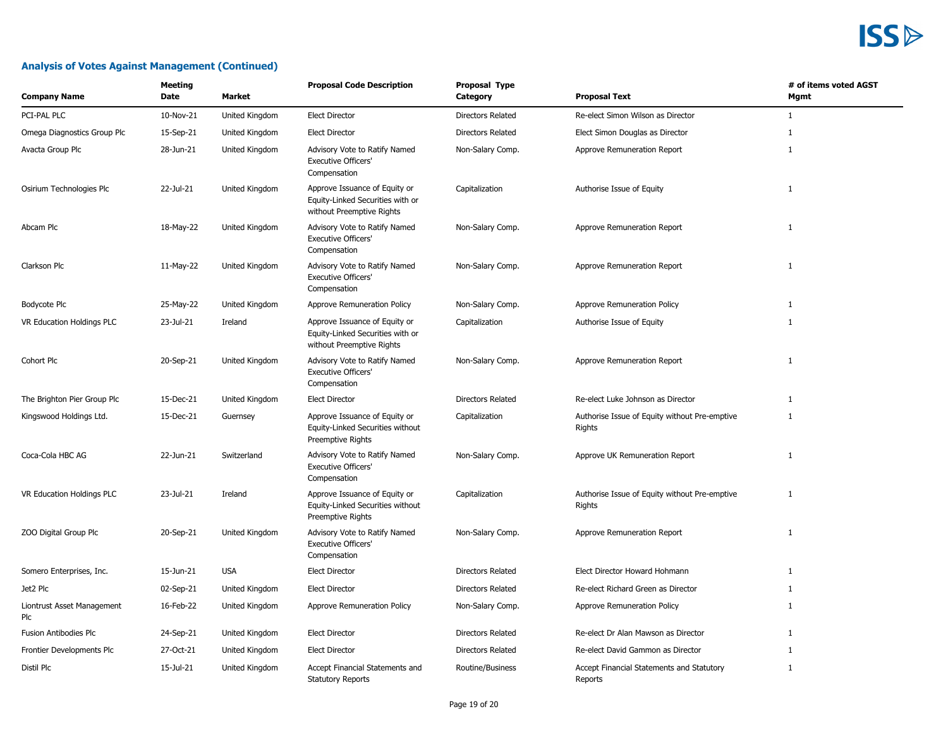| <b>Company Name</b>               | <b>Meeting</b><br>Date | Market         | <b>Proposal Code Description</b>                                                               | <b>Proposal Type</b><br>Category | <b>Proposal Text</b>                                    | # of items voted AGST<br>Mgmt |
|-----------------------------------|------------------------|----------------|------------------------------------------------------------------------------------------------|----------------------------------|---------------------------------------------------------|-------------------------------|
| PCI-PAL PLC                       | 10-Nov-21              | United Kingdom | <b>Elect Director</b>                                                                          | <b>Directors Related</b>         | Re-elect Simon Wilson as Director                       | $\mathbf{1}$                  |
| Omega Diagnostics Group Plc       | 15-Sep-21              | United Kingdom | <b>Elect Director</b>                                                                          | <b>Directors Related</b>         | Elect Simon Douglas as Director                         | 1                             |
| Avacta Group Plc                  | 28-Jun-21              | United Kingdom | Advisory Vote to Ratify Named<br><b>Executive Officers'</b><br>Compensation                    | Non-Salary Comp.                 | Approve Remuneration Report                             | $\mathbf{1}$                  |
| Osirium Technologies Plc          | 22-Jul-21              | United Kingdom | Approve Issuance of Equity or<br>Equity-Linked Securities with or<br>without Preemptive Rights | Capitalization                   | Authorise Issue of Equity                               | $\mathbf{1}$                  |
| Abcam Plc                         | 18-May-22              | United Kingdom | Advisory Vote to Ratify Named<br><b>Executive Officers'</b><br>Compensation                    | Non-Salary Comp.                 | Approve Remuneration Report                             | 1                             |
| Clarkson Plc                      | 11-May-22              | United Kingdom | Advisory Vote to Ratify Named<br><b>Executive Officers'</b><br>Compensation                    | Non-Salary Comp.                 | Approve Remuneration Report                             | $\mathbf{1}$                  |
| Bodycote Plc                      | 25-May-22              | United Kingdom | Approve Remuneration Policy                                                                    | Non-Salary Comp.                 | Approve Remuneration Policy                             | $\mathbf{1}$                  |
| VR Education Holdings PLC         | 23-Jul-21              | Ireland        | Approve Issuance of Equity or<br>Equity-Linked Securities with or<br>without Preemptive Rights | Capitalization                   | Authorise Issue of Equity                               | $\mathbf{1}$                  |
| Cohort Plc                        | 20-Sep-21              | United Kingdom | Advisory Vote to Ratify Named<br><b>Executive Officers'</b><br>Compensation                    | Non-Salary Comp.                 | Approve Remuneration Report                             | $\mathbf{1}$                  |
| The Brighton Pier Group Plc       | 15-Dec-21              | United Kingdom | <b>Elect Director</b>                                                                          | Directors Related                | Re-elect Luke Johnson as Director                       | $\mathbf{1}$                  |
| Kingswood Holdings Ltd.           | 15-Dec-21              | Guernsey       | Approve Issuance of Equity or<br>Equity-Linked Securities without<br>Preemptive Rights         | Capitalization                   | Authorise Issue of Equity without Pre-emptive<br>Rights | $\mathbf{1}$                  |
| Coca-Cola HBC AG                  | 22-Jun-21              | Switzerland    | Advisory Vote to Ratify Named<br><b>Executive Officers'</b><br>Compensation                    | Non-Salary Comp.                 | Approve UK Remuneration Report                          | $\mathbf{1}$                  |
| VR Education Holdings PLC         | 23-Jul-21              | Ireland        | Approve Issuance of Equity or<br>Equity-Linked Securities without<br>Preemptive Rights         | Capitalization                   | Authorise Issue of Equity without Pre-emptive<br>Rights | $\mathbf{1}$                  |
| ZOO Digital Group Plc             | 20-Sep-21              | United Kingdom | Advisory Vote to Ratify Named<br><b>Executive Officers'</b><br>Compensation                    | Non-Salary Comp.                 | Approve Remuneration Report                             | 1                             |
| Somero Enterprises, Inc.          | 15-Jun-21              | <b>USA</b>     | <b>Elect Director</b>                                                                          | <b>Directors Related</b>         | Elect Director Howard Hohmann                           | $\mathbf{1}$                  |
| Jet2 Plc                          | 02-Sep-21              | United Kingdom | <b>Elect Director</b>                                                                          | Directors Related                | Re-elect Richard Green as Director                      | $\mathbf{1}$                  |
| Liontrust Asset Management<br>Plc | 16-Feb-22              | United Kingdom | Approve Remuneration Policy                                                                    | Non-Salary Comp.                 | Approve Remuneration Policy                             | 1                             |
| Fusion Antibodies Plc             | 24-Sep-21              | United Kingdom | <b>Elect Director</b>                                                                          | Directors Related                | Re-elect Dr Alan Mawson as Director                     | $\mathbf{1}$                  |
| Frontier Developments Plc         | 27-Oct-21              | United Kingdom | <b>Elect Director</b>                                                                          | <b>Directors Related</b>         | Re-elect David Gammon as Director                       | 1                             |
| Distil Plc                        | 15-Jul-21              | United Kingdom | Accept Financial Statements and<br><b>Statutory Reports</b>                                    | Routine/Business                 | Accept Financial Statements and Statutory<br>Reports    | $\mathbf{1}$                  |